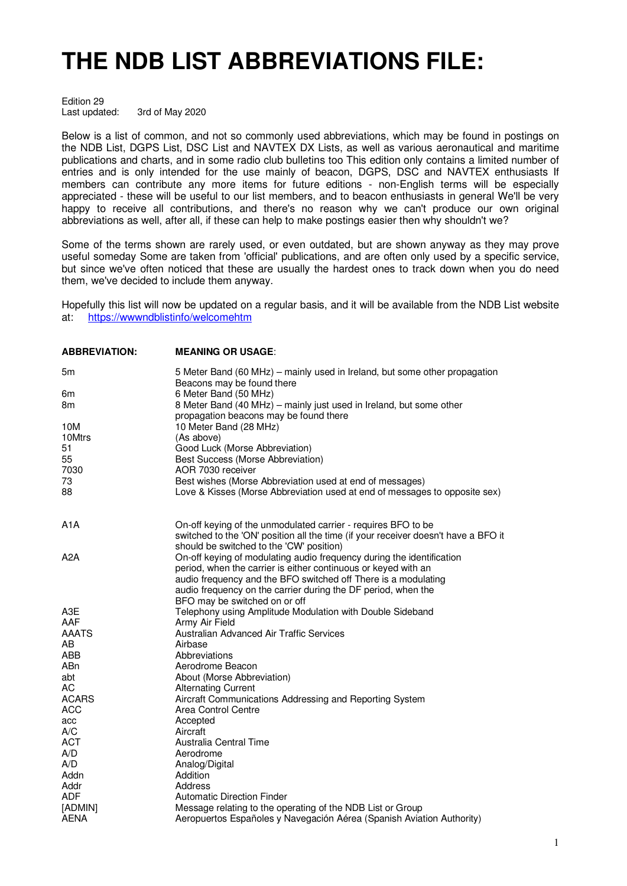# **THE NDB LIST ABBREVIATIONS FILE:**

Edition 29<br>Last updated: 3rd of May 2020

Below is a list of common, and not so commonly used abbreviations, which may be found in postings on the NDB List, DGPS List, DSC List and NAVTEX DX Lists, as well as various aeronautical and maritime publications and charts, and in some radio club bulletins too This edition only contains a limited number of entries and is only intended for the use mainly of beacon, DGPS, DSC and NAVTEX enthusiasts If members can contribute any more items for future editions - non-English terms will be especially appreciated - these will be useful to our list members, and to beacon enthusiasts in general We'll be very happy to receive all contributions, and there's no reason why we can't produce our own original abbreviations as well, after all, if these can help to make postings easier then why shouldn't we?

Some of the terms shown are rarely used, or even outdated, but are shown anyway as they may prove useful someday Some are taken from 'official' publications, and are often only used by a specific service, but since we've often noticed that these are usually the hardest ones to track down when you do need them, we've decided to include them anyway.

Hopefully this list will now be updated on a regular basis, and it will be available from the NDB List website at: https://wwwndblistinfo/welcomehtm

| <b>ABBREVIATION:</b>                    | <b>MEANING OR USAGE:</b>                                                                                                                                                                                                                                                                                    |
|-----------------------------------------|-------------------------------------------------------------------------------------------------------------------------------------------------------------------------------------------------------------------------------------------------------------------------------------------------------------|
| 5m                                      | 5 Meter Band (60 MHz) - mainly used in Ireland, but some other propagation<br>Beacons may be found there                                                                                                                                                                                                    |
| 6m<br>8m                                | 6 Meter Band (50 MHz)<br>8 Meter Band (40 MHz) - mainly just used in Ireland, but some other                                                                                                                                                                                                                |
| 10M<br>10Mtrs<br>51<br>55<br>7030<br>73 | propagation beacons may be found there<br>10 Meter Band (28 MHz)<br>(As above)<br>Good Luck (Morse Abbreviation)<br><b>Best Success (Morse Abbreviation)</b><br>AOR 7030 receiver<br>Best wishes (Morse Abbreviation used at end of messages)                                                               |
| 88                                      | Love & Kisses (Morse Abbreviation used at end of messages to opposite sex)                                                                                                                                                                                                                                  |
| A <sub>1</sub> A                        | On-off keying of the unmodulated carrier - requires BFO to be<br>switched to the 'ON' position all the time (if your receiver doesn't have a BFO it<br>should be switched to the 'CW' position)                                                                                                             |
| A <sub>2</sub> A                        | On-off keying of modulating audio frequency during the identification<br>period, when the carrier is either continuous or keyed with an<br>audio frequency and the BFO switched off There is a modulating<br>audio frequency on the carrier during the DF period, when the<br>BFO may be switched on or off |
| A3E                                     | Telephony using Amplitude Modulation with Double Sideband                                                                                                                                                                                                                                                   |
| AAF                                     | Army Air Field                                                                                                                                                                                                                                                                                              |
| <b>AAATS</b>                            | Australian Advanced Air Traffic Services                                                                                                                                                                                                                                                                    |
| AB                                      | Airbase                                                                                                                                                                                                                                                                                                     |
| ABB                                     | Abbreviations                                                                                                                                                                                                                                                                                               |
| AB <sub>n</sub>                         | Aerodrome Beacon                                                                                                                                                                                                                                                                                            |
| abt                                     | About (Morse Abbreviation)                                                                                                                                                                                                                                                                                  |
| AC<br><b>ACARS</b>                      | <b>Alternating Current</b>                                                                                                                                                                                                                                                                                  |
| <b>ACC</b>                              | Aircraft Communications Addressing and Reporting System<br>Area Control Centre                                                                                                                                                                                                                              |
| acc                                     | Accepted                                                                                                                                                                                                                                                                                                    |
| A/C                                     | Aircraft                                                                                                                                                                                                                                                                                                    |
| <b>ACT</b>                              | Australia Central Time                                                                                                                                                                                                                                                                                      |
| A/D                                     | Aerodrome                                                                                                                                                                                                                                                                                                   |
| A/D                                     | Analog/Digital                                                                                                                                                                                                                                                                                              |
| Addn                                    | Addition                                                                                                                                                                                                                                                                                                    |
| Addr                                    | Address                                                                                                                                                                                                                                                                                                     |
| <b>ADF</b>                              | <b>Automatic Direction Finder</b>                                                                                                                                                                                                                                                                           |
| [ADMIN]                                 | Message relating to the operating of the NDB List or Group                                                                                                                                                                                                                                                  |
| <b>AENA</b>                             | Aeropuertos Españoles y Navegación Aérea (Spanish Aviation Authority)                                                                                                                                                                                                                                       |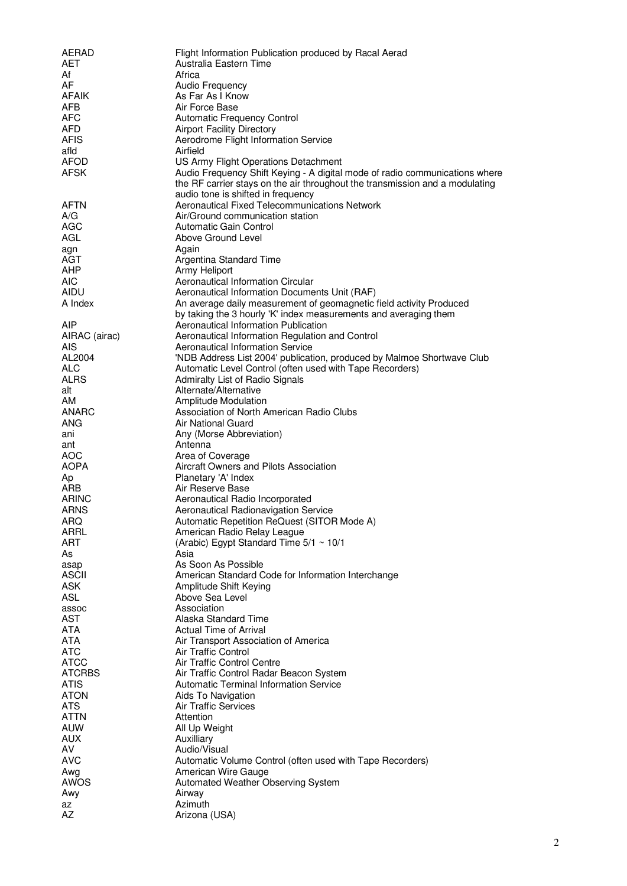| AERAD             | Flight Information Publication produced by Racal Aerad                       |
|-------------------|------------------------------------------------------------------------------|
| <b>AET</b>        | Australia Eastern Time                                                       |
| Af                | Africa                                                                       |
| AF                | <b>Audio Frequency</b>                                                       |
| <b>AFAIK</b>      | As Far As I Know                                                             |
| <b>AFB</b>        | Air Force Base                                                               |
| <b>AFC</b>        | <b>Automatic Frequency Control</b>                                           |
| <b>AFD</b>        | <b>Airport Facility Directory</b>                                            |
| <b>AFIS</b>       | Aerodrome Flight Information Service                                         |
| afld              | Airfield                                                                     |
| <b>AFOD</b>       | US Army Flight Operations Detachment                                         |
| <b>AFSK</b>       | Audio Frequency Shift Keying - A digital mode of radio communications where  |
|                   | the RF carrier stays on the air throughout the transmission and a modulating |
|                   | audio tone is shifted in frequency                                           |
| <b>AFTN</b>       | Aeronautical Fixed Telecommunications Network                                |
| A/G               | Air/Ground communication station                                             |
| <b>AGC</b>        | Automatic Gain Control                                                       |
| AGL               | Above Ground Level                                                           |
| agn               | Again                                                                        |
| AGT               | Argentina Standard Time                                                      |
| AHP<br><b>AIC</b> | Army Heliport<br>Aeronautical Information Circular                           |
| AIDU              | Aeronautical Information Documents Unit (RAF)                                |
| A Index           | An average daily measurement of geomagnetic field activity Produced          |
|                   | by taking the 3 hourly 'K' index measurements and averaging them             |
| <b>AIP</b>        | Aeronautical Information Publication                                         |
| AIRAC (airac)     | Aeronautical Information Regulation and Control                              |
| <b>AIS</b>        | Aeronautical Information Service                                             |
| AL2004            | 'NDB Address List 2004' publication, produced by Malmoe Shortwave Club       |
| <b>ALC</b>        | Automatic Level Control (often used with Tape Recorders)                     |
| <b>ALRS</b>       | Admiralty List of Radio Signals                                              |
| alt               | Alternate/Alternative                                                        |
| AM                | <b>Amplitude Modulation</b>                                                  |
| <b>ANARC</b>      | Association of North American Radio Clubs                                    |
| ANG               | Air National Guard                                                           |
| ani               | Any (Morse Abbreviation)                                                     |
| ant               | Antenna                                                                      |
| AOC               | Area of Coverage                                                             |
| <b>AOPA</b>       | Aircraft Owners and Pilots Association                                       |
| Ap                | Planetary 'A' Index                                                          |
| ARB               | Air Reserve Base                                                             |
| <b>ARINC</b>      | Aeronautical Radio Incorporated                                              |
| <b>ARNS</b>       | Aeronautical Radionavigation Service                                         |
| ARQ               | Automatic Repetition ReQuest (SHOR Mode A)                                   |
| ARRL              | American Radio Relay League                                                  |
| <b>ART</b>        | (Arabic) Egypt Standard Time 5/1 ~ 10/1                                      |
| As                | Asia                                                                         |
| asap              | As Soon As Possible                                                          |
| <b>ASCII</b>      | American Standard Code for Information Interchange                           |
| <b>ASK</b>        | Amplitude Shift Keying                                                       |
| <b>ASL</b>        | Above Sea Level                                                              |
| assoc             | Association<br>Alaska Standard Time                                          |
| AST<br>ATA        | <b>Actual Time of Arrival</b>                                                |
| <b>ATA</b>        | Air Transport Association of America                                         |
| <b>ATC</b>        | Air Traffic Control                                                          |
| <b>ATCC</b>       | Air Traffic Control Centre                                                   |
| <b>ATCRBS</b>     | Air Traffic Control Radar Beacon System                                      |
| <b>ATIS</b>       | <b>Automatic Terminal Information Service</b>                                |
| <b>ATON</b>       | Aids To Navigation                                                           |
| <b>ATS</b>        | <b>Air Traffic Services</b>                                                  |
| <b>ATTN</b>       | Attention                                                                    |
| <b>AUW</b>        | All Up Weight                                                                |
| <b>AUX</b>        | Auxilliary                                                                   |
| AV                | Audio/Visual                                                                 |
| <b>AVC</b>        | Automatic Volume Control (often used with Tape Recorders)                    |
| Awg               | American Wire Gauge                                                          |
| <b>AWOS</b>       | Automated Weather Observing System                                           |
| Awy               | Airway                                                                       |
| az                | Azimuth                                                                      |
| AZ                | Arizona (USA)                                                                |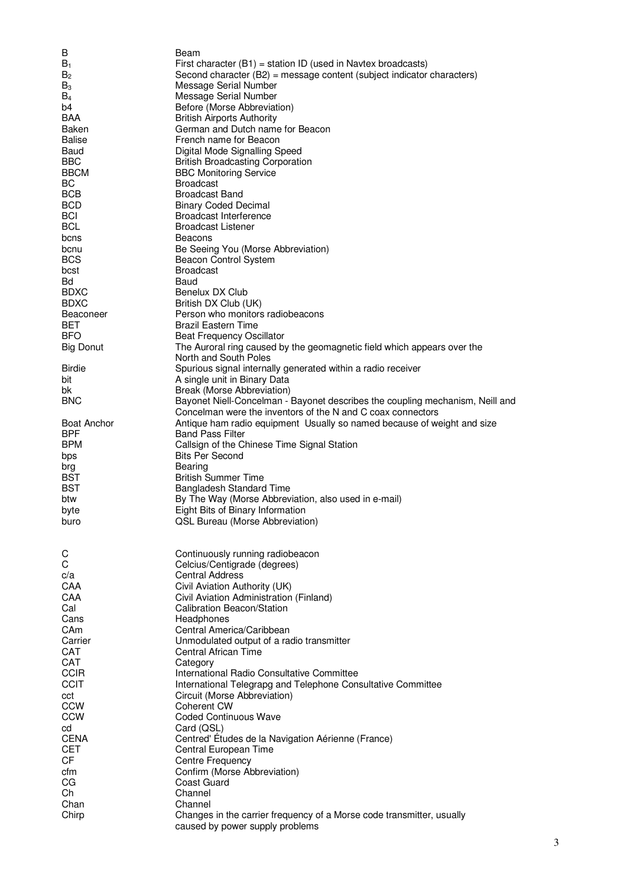| B<br>$B_1$<br>B <sub>2</sub><br>$B_3$<br>$B_4$<br>b4<br>BAA<br>Baken<br><b>Balise</b><br>Baud<br><b>BBC</b><br><b>BBCM</b><br>BC.<br><b>BCB</b><br><b>BCD</b><br><b>BCI</b><br><b>BCL</b><br>bcns<br>bcnu<br><b>BCS</b><br>bcst<br>Bd<br><b>BDXC</b><br><b>BDXC</b><br>Beaconeer<br>BET<br>BFO.<br><b>Big Donut</b><br><b>Birdie</b><br>bit<br>bk<br><b>BNC</b><br><b>Boat Anchor</b><br><b>BPF</b><br><b>BPM</b><br>bps<br>brg<br><b>BST</b> | Beam<br>First character $(B1)$ = station ID (used in Navtex broadcasts)<br>Second character (B2) = message content (subject indicator characters)<br>Message Serial Number<br>Message Serial Number<br>Before (Morse Abbreviation)<br><b>British Airports Authority</b><br>German and Dutch name for Beacon<br>French name for Beacon<br>Digital Mode Signalling Speed<br><b>British Broadcasting Corporation</b><br><b>BBC Monitoring Service</b><br><b>Broadcast</b><br><b>Broadcast Band</b><br>Binary Coded Decimal<br><b>Broadcast Interference</b><br>Broadcast Listener<br>Beacons<br>Be Seeing You (Morse Abbreviation)<br>Beacon Control System<br>Broadcast<br>Baud<br>Benelux DX Club<br>British DX Club (UK)<br>Person who monitors radiobeacons<br>Brazil Eastern Time<br><b>Beat Frequency Oscillator</b><br>The Auroral ring caused by the geomagnetic field which appears over the<br>North and South Poles<br>Spurious signal internally generated within a radio receiver<br>A single unit in Binary Data<br>Break (Morse Abbreviation)<br>Bayonet Niell-Concelman - Bayonet describes the coupling mechanism, Neill and<br>Concelman were the inventors of the N and C coax connectors<br>Antique ham radio equipment Usually so named because of weight and size<br><b>Band Pass Filter</b><br>Callsign of the Chinese Time Signal Station<br><b>Bits Per Second</b><br>Bearing<br><b>British Summer Time</b><br><b>Bangladesh Standard Time</b> |
|-----------------------------------------------------------------------------------------------------------------------------------------------------------------------------------------------------------------------------------------------------------------------------------------------------------------------------------------------------------------------------------------------------------------------------------------------|----------------------------------------------------------------------------------------------------------------------------------------------------------------------------------------------------------------------------------------------------------------------------------------------------------------------------------------------------------------------------------------------------------------------------------------------------------------------------------------------------------------------------------------------------------------------------------------------------------------------------------------------------------------------------------------------------------------------------------------------------------------------------------------------------------------------------------------------------------------------------------------------------------------------------------------------------------------------------------------------------------------------------------------------------------------------------------------------------------------------------------------------------------------------------------------------------------------------------------------------------------------------------------------------------------------------------------------------------------------------------------------------------------------------------------------------------------------------|
| btw                                                                                                                                                                                                                                                                                                                                                                                                                                           | By The Way (Morse Abbreviation, also used in e-mail)                                                                                                                                                                                                                                                                                                                                                                                                                                                                                                                                                                                                                                                                                                                                                                                                                                                                                                                                                                                                                                                                                                                                                                                                                                                                                                                                                                                                                 |
| byte                                                                                                                                                                                                                                                                                                                                                                                                                                          | Eight Bits of Binary Information                                                                                                                                                                                                                                                                                                                                                                                                                                                                                                                                                                                                                                                                                                                                                                                                                                                                                                                                                                                                                                                                                                                                                                                                                                                                                                                                                                                                                                     |
| buro                                                                                                                                                                                                                                                                                                                                                                                                                                          | QSL Bureau (Morse Abbreviation)                                                                                                                                                                                                                                                                                                                                                                                                                                                                                                                                                                                                                                                                                                                                                                                                                                                                                                                                                                                                                                                                                                                                                                                                                                                                                                                                                                                                                                      |
| C                                                                                                                                                                                                                                                                                                                                                                                                                                             | Continuously running radiobeacon                                                                                                                                                                                                                                                                                                                                                                                                                                                                                                                                                                                                                                                                                                                                                                                                                                                                                                                                                                                                                                                                                                                                                                                                                                                                                                                                                                                                                                     |
| C                                                                                                                                                                                                                                                                                                                                                                                                                                             | Celcius/Centigrade (degrees)                                                                                                                                                                                                                                                                                                                                                                                                                                                                                                                                                                                                                                                                                                                                                                                                                                                                                                                                                                                                                                                                                                                                                                                                                                                                                                                                                                                                                                         |
| c/a                                                                                                                                                                                                                                                                                                                                                                                                                                           | <b>Central Address</b>                                                                                                                                                                                                                                                                                                                                                                                                                                                                                                                                                                                                                                                                                                                                                                                                                                                                                                                                                                                                                                                                                                                                                                                                                                                                                                                                                                                                                                               |
| CAA                                                                                                                                                                                                                                                                                                                                                                                                                                           | Civil Aviation Authority (UK)                                                                                                                                                                                                                                                                                                                                                                                                                                                                                                                                                                                                                                                                                                                                                                                                                                                                                                                                                                                                                                                                                                                                                                                                                                                                                                                                                                                                                                        |
| CAA                                                                                                                                                                                                                                                                                                                                                                                                                                           | Civil Aviation Administration (Finland)                                                                                                                                                                                                                                                                                                                                                                                                                                                                                                                                                                                                                                                                                                                                                                                                                                                                                                                                                                                                                                                                                                                                                                                                                                                                                                                                                                                                                              |
| Cal                                                                                                                                                                                                                                                                                                                                                                                                                                           | <b>Calibration Beacon/Station</b>                                                                                                                                                                                                                                                                                                                                                                                                                                                                                                                                                                                                                                                                                                                                                                                                                                                                                                                                                                                                                                                                                                                                                                                                                                                                                                                                                                                                                                    |
| Cans                                                                                                                                                                                                                                                                                                                                                                                                                                          | Headphones                                                                                                                                                                                                                                                                                                                                                                                                                                                                                                                                                                                                                                                                                                                                                                                                                                                                                                                                                                                                                                                                                                                                                                                                                                                                                                                                                                                                                                                           |
| CAm                                                                                                                                                                                                                                                                                                                                                                                                                                           | Central America/Caribbean                                                                                                                                                                                                                                                                                                                                                                                                                                                                                                                                                                                                                                                                                                                                                                                                                                                                                                                                                                                                                                                                                                                                                                                                                                                                                                                                                                                                                                            |
| Carrier                                                                                                                                                                                                                                                                                                                                                                                                                                       | Unmodulated output of a radio transmitter                                                                                                                                                                                                                                                                                                                                                                                                                                                                                                                                                                                                                                                                                                                                                                                                                                                                                                                                                                                                                                                                                                                                                                                                                                                                                                                                                                                                                            |
| <b>CAT</b>                                                                                                                                                                                                                                                                                                                                                                                                                                    | Central African Time                                                                                                                                                                                                                                                                                                                                                                                                                                                                                                                                                                                                                                                                                                                                                                                                                                                                                                                                                                                                                                                                                                                                                                                                                                                                                                                                                                                                                                                 |
| <b>CAT</b>                                                                                                                                                                                                                                                                                                                                                                                                                                    | Category                                                                                                                                                                                                                                                                                                                                                                                                                                                                                                                                                                                                                                                                                                                                                                                                                                                                                                                                                                                                                                                                                                                                                                                                                                                                                                                                                                                                                                                             |
| <b>CCIR</b>                                                                                                                                                                                                                                                                                                                                                                                                                                   | International Radio Consultative Committee                                                                                                                                                                                                                                                                                                                                                                                                                                                                                                                                                                                                                                                                                                                                                                                                                                                                                                                                                                                                                                                                                                                                                                                                                                                                                                                                                                                                                           |
| <b>CCIT</b>                                                                                                                                                                                                                                                                                                                                                                                                                                   | International Telegrapg and Telephone Consultative Committee                                                                                                                                                                                                                                                                                                                                                                                                                                                                                                                                                                                                                                                                                                                                                                                                                                                                                                                                                                                                                                                                                                                                                                                                                                                                                                                                                                                                         |
| cct                                                                                                                                                                                                                                                                                                                                                                                                                                           | Circuit (Morse Abbreviation)                                                                                                                                                                                                                                                                                                                                                                                                                                                                                                                                                                                                                                                                                                                                                                                                                                                                                                                                                                                                                                                                                                                                                                                                                                                                                                                                                                                                                                         |
| <b>CCW</b>                                                                                                                                                                                                                                                                                                                                                                                                                                    | Coherent CW                                                                                                                                                                                                                                                                                                                                                                                                                                                                                                                                                                                                                                                                                                                                                                                                                                                                                                                                                                                                                                                                                                                                                                                                                                                                                                                                                                                                                                                          |
| <b>CCW</b>                                                                                                                                                                                                                                                                                                                                                                                                                                    | <b>Coded Continuous Wave</b>                                                                                                                                                                                                                                                                                                                                                                                                                                                                                                                                                                                                                                                                                                                                                                                                                                                                                                                                                                                                                                                                                                                                                                                                                                                                                                                                                                                                                                         |
| cd                                                                                                                                                                                                                                                                                                                                                                                                                                            | Card (QSL)                                                                                                                                                                                                                                                                                                                                                                                                                                                                                                                                                                                                                                                                                                                                                                                                                                                                                                                                                                                                                                                                                                                                                                                                                                                                                                                                                                                                                                                           |
| <b>CENA</b>                                                                                                                                                                                                                                                                                                                                                                                                                                   | Centred' Études de la Navigation Aérienne (France)                                                                                                                                                                                                                                                                                                                                                                                                                                                                                                                                                                                                                                                                                                                                                                                                                                                                                                                                                                                                                                                                                                                                                                                                                                                                                                                                                                                                                   |
| CET                                                                                                                                                                                                                                                                                                                                                                                                                                           | Central European Time                                                                                                                                                                                                                                                                                                                                                                                                                                                                                                                                                                                                                                                                                                                                                                                                                                                                                                                                                                                                                                                                                                                                                                                                                                                                                                                                                                                                                                                |
| CF                                                                                                                                                                                                                                                                                                                                                                                                                                            | Centre Frequency                                                                                                                                                                                                                                                                                                                                                                                                                                                                                                                                                                                                                                                                                                                                                                                                                                                                                                                                                                                                                                                                                                                                                                                                                                                                                                                                                                                                                                                     |
| cfm                                                                                                                                                                                                                                                                                                                                                                                                                                           | Confirm (Morse Abbreviation)                                                                                                                                                                                                                                                                                                                                                                                                                                                                                                                                                                                                                                                                                                                                                                                                                                                                                                                                                                                                                                                                                                                                                                                                                                                                                                                                                                                                                                         |
| СG                                                                                                                                                                                                                                                                                                                                                                                                                                            | Coast Guard                                                                                                                                                                                                                                                                                                                                                                                                                                                                                                                                                                                                                                                                                                                                                                                                                                                                                                                                                                                                                                                                                                                                                                                                                                                                                                                                                                                                                                                          |
| Ch                                                                                                                                                                                                                                                                                                                                                                                                                                            | Channel                                                                                                                                                                                                                                                                                                                                                                                                                                                                                                                                                                                                                                                                                                                                                                                                                                                                                                                                                                                                                                                                                                                                                                                                                                                                                                                                                                                                                                                              |
| Chan                                                                                                                                                                                                                                                                                                                                                                                                                                          | Channel                                                                                                                                                                                                                                                                                                                                                                                                                                                                                                                                                                                                                                                                                                                                                                                                                                                                                                                                                                                                                                                                                                                                                                                                                                                                                                                                                                                                                                                              |
| Chirp                                                                                                                                                                                                                                                                                                                                                                                                                                         | Changes in the carrier frequency of a Morse code transmitter, usually<br>caused by power supply problems                                                                                                                                                                                                                                                                                                                                                                                                                                                                                                                                                                                                                                                                                                                                                                                                                                                                                                                                                                                                                                                                                                                                                                                                                                                                                                                                                             |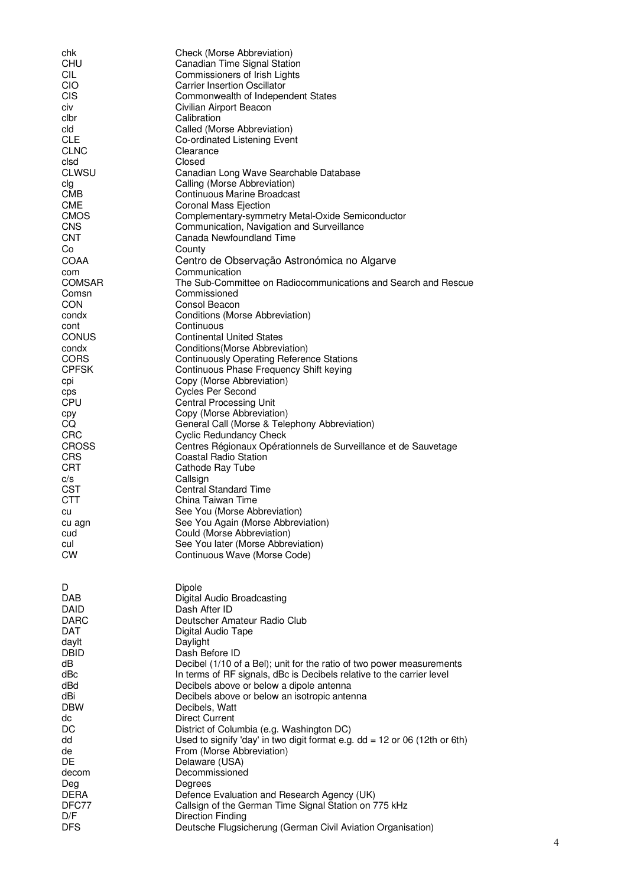| chk                  | Check (Morse Abbreviation)                                                   |
|----------------------|------------------------------------------------------------------------------|
| CHU                  | Canadian Time Signal Station                                                 |
| CIL                  | Commissioners of Irish Lights                                                |
| CIO                  | <b>Carrier Insertion Oscillator</b>                                          |
| <b>CIS</b><br>civ    | Commonwealth of Independent States<br>Civilian Airport Beacon                |
| clbr                 | Calibration                                                                  |
| cld                  | Called (Morse Abbreviation)                                                  |
| <b>CLE</b>           | Co-ordinated Listening Event                                                 |
| <b>CLNC</b>          | Clearance                                                                    |
| clsd                 | Closed                                                                       |
| <b>CLWSU</b>         | Canadian Long Wave Searchable Database                                       |
| clg                  | Calling (Morse Abbreviation)                                                 |
| <b>CMB</b>           | <b>Continuous Marine Broadcast</b>                                           |
| CME                  | Coronal Mass Ejection                                                        |
| <b>CMOS</b>          | Complementary-symmetry Metal-Oxide Semiconductor                             |
| CNS<br><b>CNT</b>    | Communication, Navigation and Surveillance<br>Canada Newfoundland Time       |
| Co                   | County                                                                       |
| <b>COAA</b>          | Centro de Observação Astronómica no Algarve                                  |
| com                  | Communication                                                                |
| <b>COMSAR</b>        | The Sub-Committee on Radiocommunications and Search and Rescue               |
| Comsn                | Commissioned                                                                 |
| CON                  | Consol Beacon                                                                |
| condx                | Conditions (Morse Abbreviation)                                              |
| cont                 | Continuous                                                                   |
| <b>CONUS</b>         | <b>Continental United States</b>                                             |
| condx                | Conditions (Morse Abbreviation)                                              |
| CORS                 | <b>Continuously Operating Reference Stations</b>                             |
| <b>CPFSK</b>         | Continuous Phase Frequency Shift keying                                      |
| cpi<br>cps           | Copy (Morse Abbreviation)<br>Cycles Per Second                               |
| <b>CPU</b>           | <b>Central Processing Unit</b>                                               |
| сру                  | Copy (Morse Abbreviation)                                                    |
| CQ.                  | General Call (Morse & Telephony Abbreviation)                                |
| <b>CRC</b>           | <b>Cyclic Redundancy Check</b>                                               |
| <b>CROSS</b>         | Centres Régionaux Opérationnels de Surveillance et de Sauvetage              |
| <b>CRS</b>           | <b>Coastal Radio Station</b>                                                 |
| CRT                  | Cathode Ray Tube                                                             |
| C/S                  | Callsign                                                                     |
| <b>CST</b>           | <b>Central Standard Time</b>                                                 |
| <b>CTT</b>           | China Taiwan Time                                                            |
| cu                   | See You (Morse Abbreviation)<br>See You Again (Morse Abbreviation)           |
| cu agn<br>cud        | Could (Morse Abbreviation)                                                   |
| cul                  | See You later (Morse Abbreviation)                                           |
| <b>CW</b>            | Continuous Wave (Morse Code)                                                 |
|                      |                                                                              |
|                      |                                                                              |
| D                    | Dipole                                                                       |
| <b>DAB</b>           | Digital Audio Broadcasting                                                   |
| DAID                 | Dash After ID                                                                |
| <b>DARC</b>          | Deutscher Amateur Radio Club                                                 |
| <b>DAT</b>           | Digital Audio Tape                                                           |
| daylt<br><b>DBID</b> | Daylight<br>Dash Before ID                                                   |
| dB                   | Decibel (1/10 of a Bel); unit for the ratio of two power measurements        |
| dBc                  | In terms of RF signals, dBc is Decibels relative to the carrier level        |
| dBd                  | Decibels above or below a dipole antenna                                     |
| dBi                  | Decibels above or below an isotropic antenna                                 |
| <b>DBW</b>           | Decibels, Watt                                                               |
| dc                   | Direct Current                                                               |
| DC                   | District of Columbia (e.g. Washington DC)                                    |
| dd                   | Used to signify 'day' in two digit format e.g. $dd = 12$ or 06 (12th or 6th) |
| de                   | From (Morse Abbreviation)                                                    |
| DE<br>decom          | Delaware (USA)<br>Decommissioned                                             |
| Deg                  | Degrees                                                                      |
| <b>DERA</b>          | Defence Evaluation and Research Agency (UK)                                  |
| DFC77                | Callsign of the German Time Signal Station on 775 kHz                        |
| D/F                  | <b>Direction Finding</b>                                                     |
| <b>DFS</b>           | Deutsche Flugsicherung (German Civil Aviation Organisation)                  |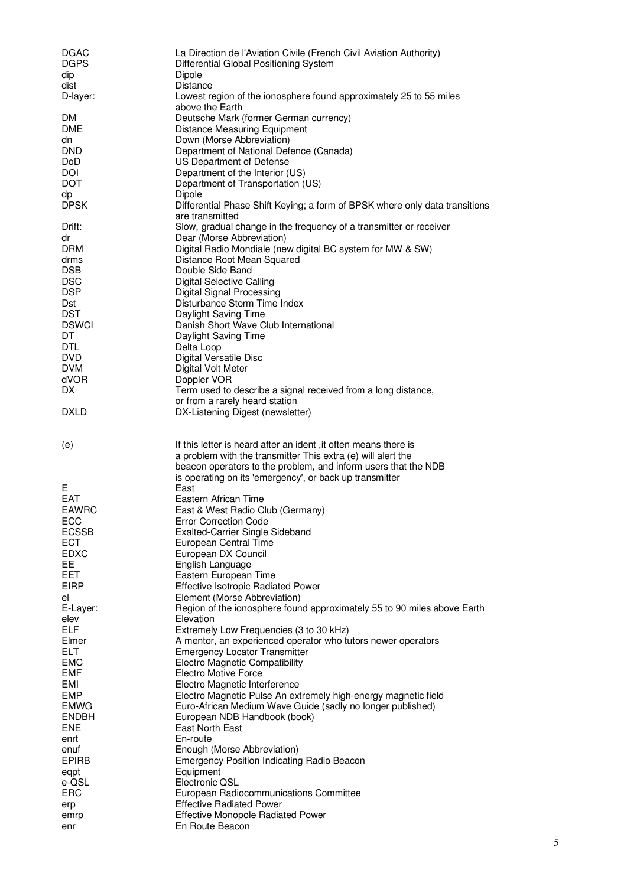| <b>DGAC</b>          | La Direction de l'Aviation Civile (French Civil Aviation Authority)                                                       |
|----------------------|---------------------------------------------------------------------------------------------------------------------------|
| <b>DGPS</b>          | Differential Global Positioning System                                                                                    |
| dip                  | Dipole                                                                                                                    |
| dist                 | <b>Distance</b>                                                                                                           |
| D-layer:             | Lowest region of the ionosphere found approximately 25 to 55 miles<br>above the Earth                                     |
| DM.                  | Deutsche Mark (former German currency)                                                                                    |
| DME                  | Distance Measuring Equipment                                                                                              |
| dn                   | Down (Morse Abbreviation)                                                                                                 |
| <b>DND</b>           | Department of National Defence (Canada)                                                                                   |
| DoD                  | US Department of Defense                                                                                                  |
| DOI                  | Department of the Interior (US)                                                                                           |
| <b>DOT</b>           | Department of Transportation (US)                                                                                         |
| dp                   | Dipole                                                                                                                    |
| <b>DPSK</b>          | Differential Phase Shift Keying; a form of BPSK where only data transitions                                               |
|                      | are transmitted                                                                                                           |
| Drift:               | Slow, gradual change in the frequency of a transmitter or receiver                                                        |
| dr                   | Dear (Morse Abbreviation)                                                                                                 |
| <b>DRM</b><br>drms   | Digital Radio Mondiale (new digital BC system for MW & SW)<br>Distance Root Mean Squared                                  |
| <b>DSB</b>           | Double Side Band                                                                                                          |
| <b>DSC</b>           | <b>Digital Selective Calling</b>                                                                                          |
| <b>DSP</b>           | <b>Digital Signal Processing</b>                                                                                          |
| Dst                  | Disturbance Storm Time Index                                                                                              |
| <b>DST</b>           | Daylight Saving Time                                                                                                      |
| <b>DSWCI</b>         | Danish Short Wave Club International                                                                                      |
| DT                   | Daylight Saving Time                                                                                                      |
| <b>DTL</b>           | Delta Loop                                                                                                                |
| <b>DVD</b>           | Digital Versatile Disc                                                                                                    |
| <b>DVM</b>           | Digital Volt Meter                                                                                                        |
| dVOR                 | Doppler VOR                                                                                                               |
| DX.                  | Term used to describe a signal received from a long distance,                                                             |
|                      | or from a rarely heard station                                                                                            |
| <b>DXLD</b>          | DX-Listening Digest (newsletter)                                                                                          |
|                      |                                                                                                                           |
|                      |                                                                                                                           |
|                      |                                                                                                                           |
| (e)                  | If this letter is heard after an ident, it often means there is                                                           |
|                      | a problem with the transmitter This extra (e) will alert the                                                              |
|                      | beacon operators to the problem, and inform users that the NDB<br>is operating on its 'emergency', or back up transmitter |
| Е                    | East                                                                                                                      |
| <b>EAT</b>           | Eastern African Time                                                                                                      |
| EAWRC                | East & West Radio Club (Germany)                                                                                          |
| FCC                  | <b>Error Correction Code</b>                                                                                              |
| <b>ECSSB</b>         | <b>Exalted-Carrier Single Sideband</b>                                                                                    |
| ECT                  | European Central Time                                                                                                     |
| <b>EDXC</b>          | European DX Council                                                                                                       |
| EE.                  | English Language                                                                                                          |
| EET                  | Eastern European Time                                                                                                     |
| <b>EIRP</b>          | <b>Effective Isotropic Radiated Power</b>                                                                                 |
| el                   | Element (Morse Abbreviation)                                                                                              |
| E-Layer:<br>elev     | Region of the ionosphere found approximately 55 to 90 miles above Earth<br>Elevation                                      |
| <b>ELF</b>           | Extremely Low Frequencies (3 to 30 kHz)                                                                                   |
| Elmer                | A mentor, an experienced operator who tutors newer operators                                                              |
| <b>ELT</b>           | <b>Emergency Locator Transmitter</b>                                                                                      |
| <b>EMC</b>           | <b>Electro Magnetic Compatibility</b>                                                                                     |
| <b>EMF</b>           | <b>Electro Motive Force</b>                                                                                               |
| EMI                  | Electro Magnetic Interference                                                                                             |
| <b>EMP</b>           | Electro Magnetic Pulse An extremely high-energy magnetic field                                                            |
| <b>EMWG</b>          | Euro-African Medium Wave Guide (sadly no longer published)                                                                |
| <b>ENDBH</b>         | European NDB Handbook (book)                                                                                              |
| <b>ENE</b>           | East North East                                                                                                           |
| enrt                 | En-route                                                                                                                  |
| enuf<br><b>EPIRB</b> | Enough (Morse Abbreviation)                                                                                               |
| eqpt                 | <b>Emergency Position Indicating Radio Beacon</b><br>Equipment                                                            |
| e-QSL                | Electronic QSL                                                                                                            |
| ERC                  | European Radiocommunications Committee                                                                                    |
| erp                  | <b>Effective Radiated Power</b>                                                                                           |
| emrp<br>enr          | <b>Effective Monopole Radiated Power</b><br>En Route Beacon                                                               |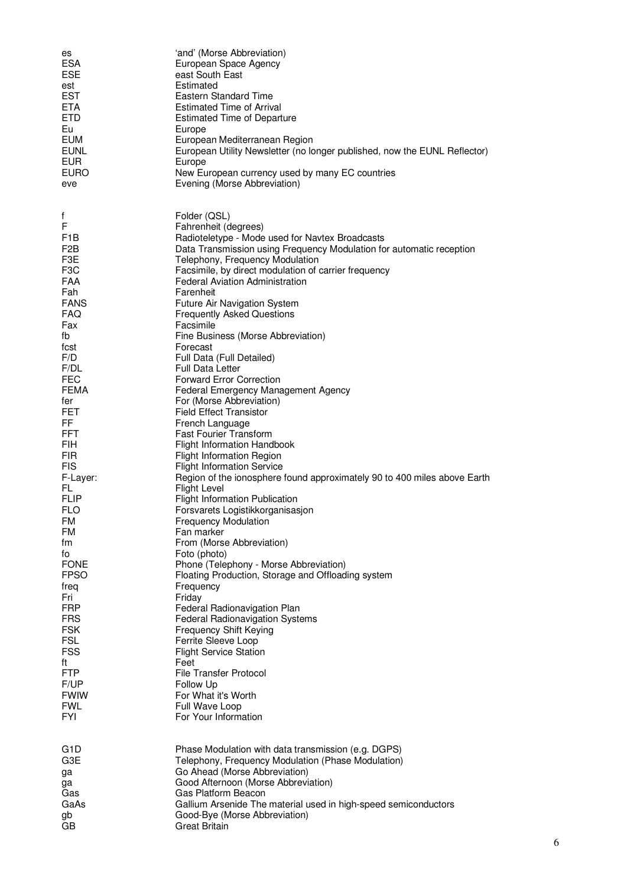| es               | 'and' (Morse Abbreviation)                                                |
|------------------|---------------------------------------------------------------------------|
| <b>ESA</b>       | European Space Agency                                                     |
| <b>ESE</b>       | east South East                                                           |
| est              | Estimated                                                                 |
| <b>EST</b>       | <b>Eastern Standard Time</b>                                              |
| <b>ETA</b>       | <b>Estimated Time of Arrival</b>                                          |
| <b>ETD</b>       | <b>Estimated Time of Departure</b>                                        |
| Eu               | Europe                                                                    |
| <b>EUM</b>       | European Mediterranean Region                                             |
| <b>EUNL</b>      | European Utility Newsletter (no longer published, now the EUNL Reflector) |
| <b>EUR</b>       | Europe                                                                    |
| <b>EURO</b>      | New European currency used by many EC countries                           |
| eve              | Evening (Morse Abbreviation)                                              |
| f                | Folder (QSL)                                                              |
| F                | Fahrenheit (degrees)                                                      |
| F <sub>1</sub> B | Radioteletype - Mode used for Navtex Broadcasts                           |
| F <sub>2</sub> B | Data Transmission using Frequency Modulation for automatic reception      |
| F3E              | Telephony, Frequency Modulation                                           |
| F <sub>3</sub> C | Facsimile, by direct modulation of carrier frequency                      |
| FAA              | <b>Federal Aviation Administration</b>                                    |
| Fah              | Farenheit                                                                 |
| <b>FANS</b>      | Future Air Navigation System                                              |
| FAQ.             | <b>Frequently Asked Questions</b>                                         |
| Fax              | Facsimile                                                                 |
| fb               | Fine Business (Morse Abbreviation)                                        |
| fcst             | Forecast                                                                  |
| F/D              | Full Data (Full Detailed)                                                 |
| F/DL             | <b>Full Data Letter</b>                                                   |
| <b>FEC</b>       | <b>Forward Error Correction</b>                                           |
| <b>FEMA</b>      | Federal Emergency Management Agency                                       |
| fer              | For (Morse Abbreviation)                                                  |
| FET              | <b>Field Effect Transistor</b>                                            |
| FF.              | French Language                                                           |
| <b>FFT</b>       | <b>Fast Fourier Transform</b>                                             |
| FIH.             | Flight Information Handbook                                               |
| <b>FIR</b>       | <b>Flight Information Region</b>                                          |
| <b>FIS</b>       | <b>Flight Information Service</b>                                         |
| F-Layer:         | Region of the ionosphere found approximately 90 to 400 miles above Earth  |
| FL.              | <b>Flight Level</b>                                                       |
| <b>FLIP</b>      | <b>Flight Information Publication</b>                                     |
| <b>FLO</b>       | Forsvarets Logistikkorganisasjon                                          |
| FM               | <b>Frequency Modulation</b>                                               |
| FM               | Fan marker                                                                |
| fm               | From (Morse Abbreviation)                                                 |
| fo               | Foto (photo)                                                              |
| <b>FONE</b>      | Phone (Telephony - Morse Abbreviation)                                    |
| <b>FPSO</b>      | Floating Production, Storage and Offloading system                        |
| freq             | Frequency                                                                 |
| Fri              | Friday                                                                    |
| <b>FRP</b>       | Federal Radionavigation Plan                                              |
| <b>FRS</b>       | <b>Federal Radionavigation Systems</b>                                    |
| <b>FSK</b>       | <b>Frequency Shift Keying</b>                                             |
| <b>FSL</b>       | Ferrite Sleeve Loop                                                       |
| <b>FSS</b>       | <b>Flight Service Station</b>                                             |
| ft               | Feet                                                                      |
| <b>FTP</b>       | File Transfer Protocol                                                    |
| F/UP             | Follow Up                                                                 |
| <b>FWIW</b>      | For What it's Worth                                                       |
| <b>FWL</b>       | Full Wave Loop                                                            |
| <b>FYI</b>       | For Your Information                                                      |
| G <sub>1</sub> D | Phase Modulation with data transmission (e.g. DGPS)                       |
| G3E              | Telephony, Frequency Modulation (Phase Modulation)                        |
| ga               | Go Ahead (Morse Abbreviation)                                             |
| ga               | Good Afternoon (Morse Abbreviation)                                       |
| Gas              | Gas Platform Beacon                                                       |
| GaAs             | Gallium Arsenide The material used in high-speed semiconductors           |
| gb               | Good-Bye (Morse Abbreviation)                                             |
| GB               | <b>Great Britain</b>                                                      |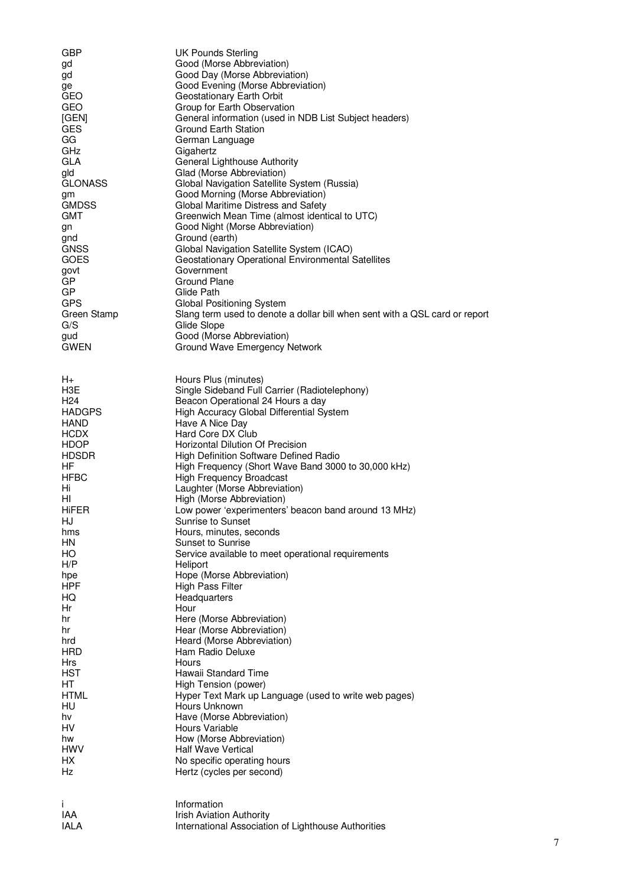| GBP                   | <b>UK Pounds Sterling</b>                                                         |
|-----------------------|-----------------------------------------------------------------------------------|
| gd                    | Good (Morse Abbreviation)                                                         |
| gd                    | Good Day (Morse Abbreviation)                                                     |
| ge                    | Good Evening (Morse Abbreviation)                                                 |
| GEO                   | Geostationary Earth Orbit                                                         |
| GEO                   | Group for Earth Observation                                                       |
| [GEN]                 | General information (used in NDB List Subject headers)                            |
| <b>GES</b>            | <b>Ground Earth Station</b>                                                       |
| GG                    | German Language                                                                   |
| <b>GHz</b>            | Gigahertz                                                                         |
| <b>GLA</b>            | General Lighthouse Authority<br>Glad (Morse Abbreviation)                         |
| gld<br><b>GLONASS</b> |                                                                                   |
|                       | Global Navigation Satellite System (Russia)<br>Good Morning (Morse Abbreviation)  |
| gm<br><b>GMDSS</b>    | Global Maritime Distress and Safety                                               |
| GMT                   | Greenwich Mean Time (almost identical to UTC)                                     |
| gn                    | Good Night (Morse Abbreviation)                                                   |
| gnd                   | Ground (earth)                                                                    |
| <b>GNSS</b>           | Global Navigation Satellite System (ICAO)                                         |
| <b>GOES</b>           | Geostationary Operational Environmental Satellites                                |
| govt                  | Government                                                                        |
| GP                    | Ground Plane                                                                      |
| GP                    | Glide Path                                                                        |
| <b>GPS</b>            | Global Positioning System                                                         |
| Green Stamp           | Slang term used to denote a dollar bill when sent with a QSL card or report       |
| G/S                   | Glide Slope                                                                       |
| gud                   | Good (Morse Abbreviation)                                                         |
| <b>GWEN</b>           | Ground Wave Emergency Network                                                     |
|                       |                                                                                   |
| H+                    | Hours Plus (minutes)                                                              |
| H3E                   | Single Sideband Full Carrier (Radiotelephony)                                     |
| H <sub>24</sub>       | Beacon Operational 24 Hours a day                                                 |
| <b>HADGPS</b>         | High Accuracy Global Differential System                                          |
| HAND                  | Have A Nice Day                                                                   |
| <b>HCDX</b>           | Hard Core DX Club                                                                 |
| HDOP                  | <b>Horizontal Dilution Of Precision</b>                                           |
| <b>HDSDR</b>          | <b>High Definition Software Defined Radio</b>                                     |
| HF                    | High Frequency (Short Wave Band 3000 to 30,000 kHz)                               |
| <b>HFBC</b>           | <b>High Frequency Broadcast</b>                                                   |
| Hi<br>HI              | Laughter (Morse Abbreviation)                                                     |
| HiFER                 | High (Morse Abbreviation)<br>Low power 'experimenters' beacon band around 13 MHz) |
| HJ                    | Sunrise to Sunset                                                                 |
| hms                   | Hours, minutes, seconds                                                           |
| <b>HN</b>             | <b>Sunset to Sunrise</b>                                                          |
| HO                    | Service available to meet operational requirements                                |
| H/P                   | Heliport                                                                          |
| hpe                   | Hope (Morse Abbreviation)                                                         |
| <b>HPF</b>            | <b>High Pass Filter</b>                                                           |
| HQ                    | Headquarters                                                                      |
| Hr                    | Hour                                                                              |
| hr                    | Here (Morse Abbreviation)                                                         |
| hr                    | Hear (Morse Abbreviation)                                                         |
| hrd<br><b>HRD</b>     | Heard (Morse Abbreviation)<br>Ham Radio Deluxe                                    |
| Hrs                   | Hours                                                                             |
| HST                   | Hawaii Standard Time                                                              |
| НT                    | High Tension (power)                                                              |
| <b>HTML</b>           | Hyper Text Mark up Language (used to write web pages)                             |
| HU                    | Hours Unknown                                                                     |
| hv                    | Have (Morse Abbreviation)                                                         |
| HV                    | Hours Variable                                                                    |
| hw                    | How (Morse Abbreviation)                                                          |
| <b>HWV</b>            | <b>Half Wave Vertical</b>                                                         |
| HX.                   | No specific operating hours                                                       |
| <b>Hz</b>             | Hertz (cycles per second)                                                         |
|                       |                                                                                   |
| L                     | Information                                                                       |
| IAA                   | <b>Irish Aviation Authority</b>                                                   |
| <b>IALA</b>           | International Association of Lighthouse Authorities                               |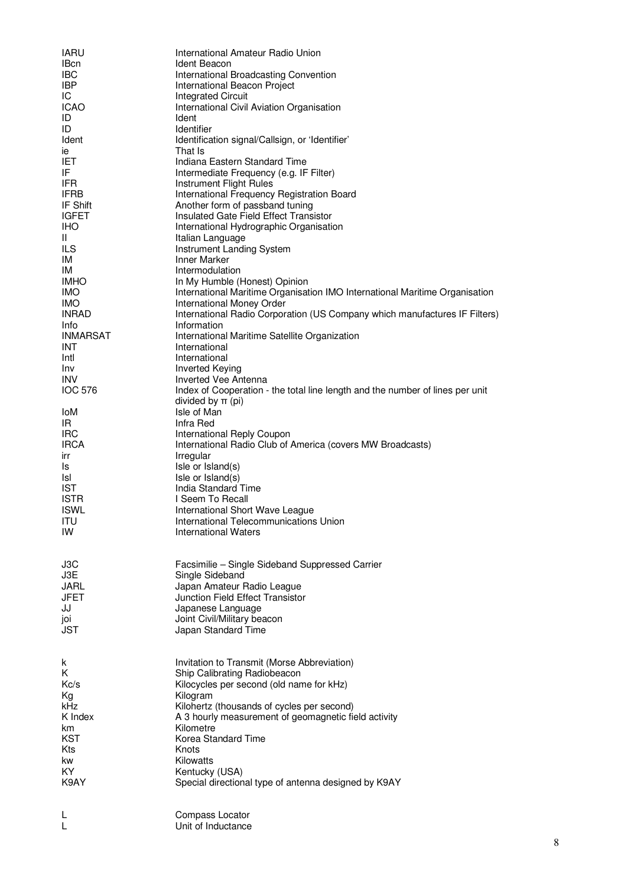| <b>IARU</b>        | International Amateur Radio Union                                             |
|--------------------|-------------------------------------------------------------------------------|
| <b>IBcn</b>        | Ident Beacon                                                                  |
| <b>IBC</b>         | International Broadcasting Convention                                         |
| <b>IBP</b>         | International Beacon Project                                                  |
| IC.<br><b>ICAO</b> | <b>Integrated Circuit</b>                                                     |
| ID                 | International Civil Aviation Organisation<br>Ident                            |
| ID                 | Identifier                                                                    |
| Ident              | Identification signal/Callsign, or 'Identifier'                               |
| ie                 | That Is                                                                       |
| IET                | Indiana Eastern Standard Time                                                 |
| IF                 | Intermediate Frequency (e.g. IF Filter)                                       |
| <b>IFR</b>         | Instrument Flight Rules                                                       |
| <b>IFRB</b>        | International Frequency Registration Board                                    |
| IF Shift           | Another form of passband tuning                                               |
| <b>IGFET</b>       | Insulated Gate Field Effect Transistor                                        |
| <b>IHO</b>         | International Hydrographic Organisation                                       |
| Ш.                 | Italian Language                                                              |
| ILS.               | Instrument Landing System                                                     |
| IM                 | Inner Marker                                                                  |
| IM                 | Intermodulation                                                               |
| <b>IMHO</b>        | In My Humble (Honest) Opinion                                                 |
| <b>IMO</b>         | International Maritime Organisation IMO International Maritime Organisation   |
| <b>IMO</b>         | International Money Order                                                     |
| <b>INRAD</b>       | International Radio Corporation (US Company which manufactures IF Filters)    |
| Info               | Information                                                                   |
| <b>INMARSAT</b>    | International Maritime Satellite Organization                                 |
| <b>INT</b><br>Intl | International<br>International                                                |
| <b>Inv</b>         | <b>Inverted Keying</b>                                                        |
| <b>INV</b>         | <b>Inverted Vee Antenna</b>                                                   |
| <b>IOC 576</b>     | Index of Cooperation - the total line length and the number of lines per unit |
|                    | divided by $\pi$ (pi)                                                         |
| loM                | Isle of Man                                                                   |
| IR.                | Infra Red                                                                     |
| <b>IRC</b>         | International Reply Coupon                                                    |
| <b>IRCA</b>        | International Radio Club of America (covers MW Broadcasts)                    |
| irr                | Irregular                                                                     |
| Is                 | Isle or Island(s)                                                             |
| Isl                | Isle or Island(s)                                                             |
| <b>IST</b>         | India Standard Time                                                           |
| <b>ISTR</b>        | I Seem To Recall                                                              |
| <b>ISWL</b>        | International Short Wave League                                               |
| ITU                | International Telecommunications Union                                        |
| IW                 | <b>International Waters</b>                                                   |
|                    |                                                                               |
|                    |                                                                               |
| J3C                | Facsimilie - Single Sideband Suppressed Carrier                               |
| J3E                | Single Sideband                                                               |
| <b>JARL</b>        | Japan Amateur Radio League                                                    |
| <b>JFET</b>        | Junction Field Effect Transistor                                              |
| JJ                 | Japanese Language                                                             |
| joi                | Joint Civil/Military beacon                                                   |
| JST                | Japan Standard Time                                                           |
|                    |                                                                               |
| k                  | Invitation to Transmit (Morse Abbreviation)                                   |
| K                  | Ship Calibrating Radiobeacon                                                  |
| Kc/s               | Kilocycles per second (old name for kHz)                                      |
| Kg                 | Kilogram                                                                      |
| <b>kHz</b>         | Kilohertz (thousands of cycles per second)                                    |
| K Index            | A 3 hourly measurement of geomagnetic field activity                          |
| km                 | Kilometre                                                                     |
| <b>KST</b>         | Korea Standard Time                                                           |
| Kts                | Knots                                                                         |
| kw.                | Kilowatts                                                                     |
| KY.                | Kentucky (USA)                                                                |
| K9AY               | Special directional type of antenna designed by K9AY                          |
|                    |                                                                               |
| L                  | Compass Locator                                                               |
| L                  | Unit of Inductance                                                            |
|                    |                                                                               |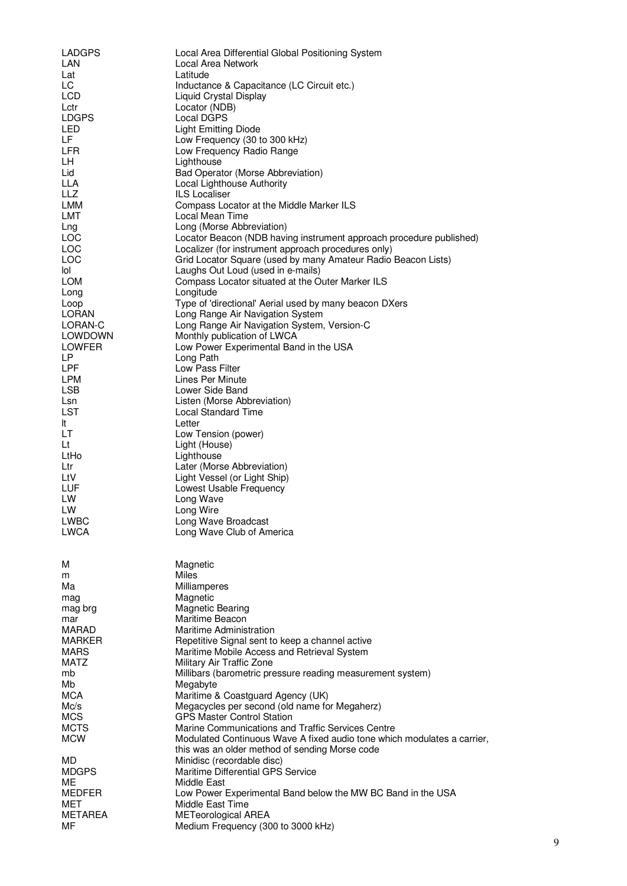| <b>LADGPS</b><br>LAN     | Local Area Differential Global Positioning System<br>Local Area Network                            |
|--------------------------|----------------------------------------------------------------------------------------------------|
| Lat                      | Latitude                                                                                           |
| LC                       | Inductance & Capacitance (LC Circuit etc.)                                                         |
| <b>LCD</b>               | Liquid Crystal Display                                                                             |
| Lctr                     | Locator (NDB)                                                                                      |
| <b>LDGPS</b><br>LED      | Local DGPS                                                                                         |
| LF.                      | <b>Light Emitting Diode</b><br>Low Frequency (30 to 300 kHz)                                       |
| <b>LFR</b>               | Low Frequency Radio Range                                                                          |
| LH.                      | Lighthouse                                                                                         |
| Lid                      | Bad Operator (Morse Abbreviation)                                                                  |
| <b>LLA</b>               | Local Lighthouse Authority                                                                         |
| <b>LLZ</b><br><b>LMM</b> | <b>ILS Localiser</b><br>Compass Locator at the Middle Marker ILS                                   |
| LMT                      | Local Mean Time                                                                                    |
| Lng                      | Long (Morse Abbreviation)                                                                          |
| LOC                      | Locator Beacon (NDB having instrument approach procedure published)                                |
| <b>LOC</b>               | Localizer (for instrument approach procedures only)                                                |
| <b>LOC</b><br>lol        | Grid Locator Square (used by many Amateur Radio Beacon Lists)<br>Laughs Out Loud (used in e-mails) |
| <b>LOM</b>               | Compass Locator situated at the Outer Marker ILS                                                   |
| Long                     | Longitude                                                                                          |
| Loop                     | Type of 'directional' Aerial used by many beacon DXers                                             |
| <b>LORAN</b>             | Long Range Air Navigation System                                                                   |
| LORAN-C                  | Long Range Air Navigation System, Version-C                                                        |
| LOWDOWN<br><b>LOWFER</b> | Monthly publication of LWCA<br>Low Power Experimental Band in the USA                              |
| LP.                      | Long Path                                                                                          |
| <b>LPF</b>               | Low Pass Filter                                                                                    |
| <b>LPM</b>               | Lines Per Minute                                                                                   |
| <b>LSB</b>               | Lower Side Band                                                                                    |
| Lsn<br><b>LST</b>        | Listen (Morse Abbreviation)<br><b>Local Standard Time</b>                                          |
| It                       | Letter                                                                                             |
| LT                       | Low Tension (power)                                                                                |
| Lt                       | Light (House)                                                                                      |
| LtHo                     | Lighthouse                                                                                         |
| Ltr<br>LtV.              | Later (Morse Abbreviation)<br>Light Vessel (or Light Ship)                                         |
| <b>LUF</b>               | Lowest Usable Frequency                                                                            |
| LW                       | Long Wave                                                                                          |
| LW                       | Long Wire                                                                                          |
| <b>LWBC</b>              | Long Wave Broadcast                                                                                |
| LWCA                     | Long Wave Club of America                                                                          |
|                          |                                                                                                    |
| м<br>m                   | Magnetic<br><b>Miles</b>                                                                           |
| Ma                       | Milliamperes                                                                                       |
| mag                      | Magnetic                                                                                           |
| mag brg                  | Magnetic Bearing                                                                                   |
| mar                      | Maritime Beacon                                                                                    |
| MARAD<br>MARKER          | Maritime Administration                                                                            |
| MARS                     | Repetitive Signal sent to keep a channel active<br>Maritime Mobile Access and Retrieval System     |
| MATZ                     | Military Air Traffic Zone                                                                          |
| mb                       | Millibars (barometric pressure reading measurement system)                                         |
| Mb                       | Megabyte                                                                                           |
| MCA<br>Mc/s              | Maritime & Coastguard Agency (UK)<br>Megacycles per second (old name for Megaherz)                 |
| <b>MCS</b>               | <b>GPS Master Control Station</b>                                                                  |
| <b>MCTS</b>              | Marine Communications and Traffic Services Centre                                                  |
| <b>MCW</b>               | Modulated Continuous Wave A fixed audio tone which modulates a carrier,                            |
|                          | this was an older method of sending Morse code                                                     |
| MD.<br><b>MDGPS</b>      | Minidisc (recordable disc)<br>Maritime Differential GPS Service                                    |
| MЕ                       | Middle East                                                                                        |
| <b>MEDFER</b>            | Low Power Experimental Band below the MW BC Band in the USA                                        |
| MET                      | Middle East Time                                                                                   |
| METAREA                  | <b>METeorological AREA</b>                                                                         |
| MF                       | Medium Frequency (300 to 3000 kHz)                                                                 |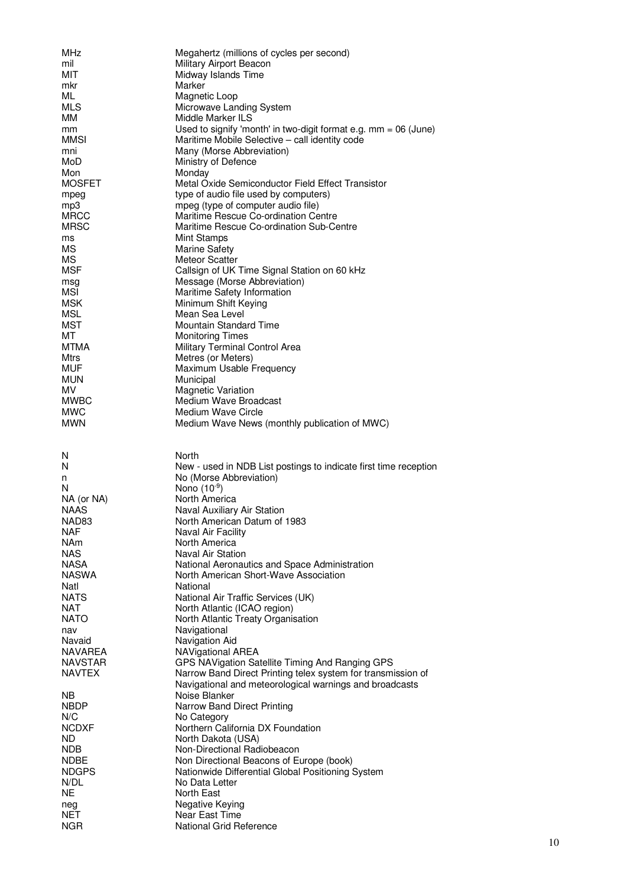| MHz                              | Megahertz (millions of cycles per second)                                                                       |
|----------------------------------|-----------------------------------------------------------------------------------------------------------------|
| mil                              | Military Airport Beacon                                                                                         |
| <b>MIT</b><br>mkr                | Midway Islands Time<br>Marker                                                                                   |
| ML                               | Magnetic Loop                                                                                                   |
| MLS                              | Microwave Landing System                                                                                        |
| MМ                               | Middle Marker ILS                                                                                               |
| mm                               | Used to signify 'month' in two-digit format e.g. $mm = 06$ (June)                                               |
| MMSI                             | Maritime Mobile Selective - call identity code                                                                  |
| mni                              | Many (Morse Abbreviation)                                                                                       |
| MoD                              | Ministry of Defence                                                                                             |
| Mon                              | Monday                                                                                                          |
| <b>MOSFET</b>                    | Metal Oxide Semiconductor Field Effect Transistor                                                               |
| mpeg                             | type of audio file used by computers)                                                                           |
| mp3                              | mpeg (type of computer audio file)                                                                              |
| <b>MRCC</b>                      | Maritime Rescue Co-ordination Centre                                                                            |
| MRSC                             | Maritime Rescue Co-ordination Sub-Centre                                                                        |
| ms<br>ΜS                         | Mint Stamps<br><b>Marine Safety</b>                                                                             |
| <b>MS</b>                        | <b>Meteor Scatter</b>                                                                                           |
| <b>MSF</b>                       | Callsign of UK Time Signal Station on 60 kHz                                                                    |
| msg                              | Message (Morse Abbreviation)                                                                                    |
| <b>MSI</b>                       | Maritime Safety Information                                                                                     |
| <b>MSK</b>                       | Minimum Shift Keying                                                                                            |
| MSL                              | Mean Sea Level                                                                                                  |
| <b>MST</b>                       | <b>Mountain Standard Time</b>                                                                                   |
| МT                               | <b>Monitoring Times</b>                                                                                         |
| <b>MTMA</b>                      | Military Terminal Control Area                                                                                  |
| Mtrs                             | Metres (or Meters)                                                                                              |
| <b>MUF</b><br><b>MUN</b>         | Maximum Usable Frequency                                                                                        |
| MV                               | Municipal<br><b>Magnetic Variation</b>                                                                          |
| <b>MWBC</b>                      | Medium Wave Broadcast                                                                                           |
| MWC                              | <b>Medium Wave Circle</b>                                                                                       |
| MWN                              | Medium Wave News (monthly publication of MWC)                                                                   |
|                                  |                                                                                                                 |
|                                  |                                                                                                                 |
|                                  |                                                                                                                 |
| N                                | North                                                                                                           |
| N                                | New - used in NDB List postings to indicate first time reception                                                |
| n                                | No (Morse Abbreviation)                                                                                         |
| N                                | Nono $(10^{-9})$                                                                                                |
| NA (or NA)                       | North America                                                                                                   |
| NAAS                             | Naval Auxiliary Air Station                                                                                     |
| NAD83<br><b>NAF</b>              | North American Datum of 1983                                                                                    |
| <b>NAm</b>                       | Naval Air Facility<br>North America                                                                             |
| <b>NAS</b>                       | Naval Air Station                                                                                               |
| <b>NASA</b>                      | National Aeronautics and Space Administration                                                                   |
| <b>NASWA</b>                     | North American Short-Wave Association                                                                           |
| Natl                             | National                                                                                                        |
| <b>NATS</b>                      | National Air Traffic Services (UK)                                                                              |
| <b>NAT</b>                       | North Atlantic (ICAO region)                                                                                    |
| <b>NATO</b>                      | North Atlantic Treaty Organisation                                                                              |
| nav                              | Navigational                                                                                                    |
| Navaid                           | Navigation Aid                                                                                                  |
| <b>NAVAREA</b><br><b>NAVSTAR</b> | <b>NAVigational AREA</b>                                                                                        |
| <b>NAVTEX</b>                    | GPS NAVigation Satellite Timing And Ranging GPS<br>Narrow Band Direct Printing telex system for transmission of |
|                                  | Navigational and meteorological warnings and broadcasts                                                         |
| NB.                              | Noise Blanker                                                                                                   |
| <b>NBDP</b>                      | Narrow Band Direct Printing                                                                                     |
| N/C                              | No Category                                                                                                     |
| <b>NCDXF</b>                     | Northern California DX Foundation                                                                               |
| ND.                              | North Dakota (USA)                                                                                              |
| <b>NDB</b>                       | Non-Directional Radiobeacon                                                                                     |
| <b>NDBE</b>                      | Non Directional Beacons of Europe (book)                                                                        |
| <b>NDGPS</b><br>N/DL             | Nationwide Differential Global Positioning System                                                               |
| <b>NE</b>                        | No Data Letter<br>North East                                                                                    |
| neg                              | Negative Keying                                                                                                 |
| <b>NET</b>                       | Near East Time<br>National Grid Reference                                                                       |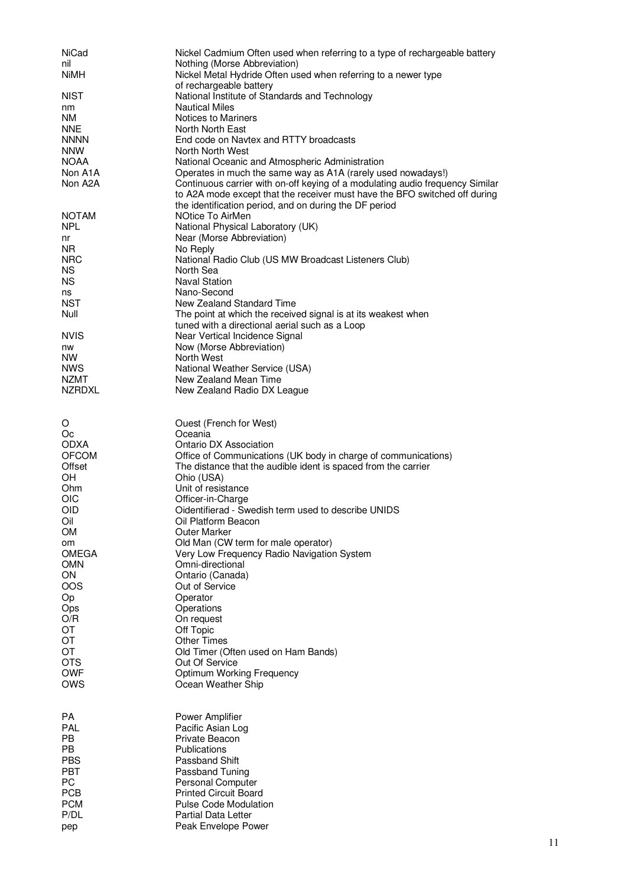| nil                                                                                                   | Nickel Cadmium Often used when referring to a type of rechargeable battery                                                                                                                                                                                                                                                                                     |
|-------------------------------------------------------------------------------------------------------|----------------------------------------------------------------------------------------------------------------------------------------------------------------------------------------------------------------------------------------------------------------------------------------------------------------------------------------------------------------|
|                                                                                                       | Nothing (Morse Abbreviation)                                                                                                                                                                                                                                                                                                                                   |
| <b>NiMH</b>                                                                                           | Nickel Metal Hydride Often used when referring to a newer type<br>of rechargeable battery                                                                                                                                                                                                                                                                      |
| <b>NIST</b>                                                                                           | National Institute of Standards and Technology                                                                                                                                                                                                                                                                                                                 |
| nm                                                                                                    | <b>Nautical Miles</b>                                                                                                                                                                                                                                                                                                                                          |
| <b>NM</b>                                                                                             | Notices to Mariners                                                                                                                                                                                                                                                                                                                                            |
| <b>NNE</b>                                                                                            | North North East                                                                                                                                                                                                                                                                                                                                               |
| <b>NNNN</b>                                                                                           | End code on Navtex and RTTY broadcasts                                                                                                                                                                                                                                                                                                                         |
| <b>NNW</b>                                                                                            | North North West                                                                                                                                                                                                                                                                                                                                               |
| <b>NOAA</b>                                                                                           | National Oceanic and Atmospheric Administration                                                                                                                                                                                                                                                                                                                |
| Non A1A                                                                                               | Operates in much the same way as A1A (rarely used nowadays!)                                                                                                                                                                                                                                                                                                   |
| Non A2A                                                                                               | Continuous carrier with on-off keying of a modulating audio frequency Similar                                                                                                                                                                                                                                                                                  |
|                                                                                                       | to A2A mode except that the receiver must have the BFO switched off during                                                                                                                                                                                                                                                                                     |
|                                                                                                       | the identification period, and on during the DF period                                                                                                                                                                                                                                                                                                         |
| <b>NOTAM</b>                                                                                          | NOtice To AirMen                                                                                                                                                                                                                                                                                                                                               |
| NPL.                                                                                                  | National Physical Laboratory (UK)                                                                                                                                                                                                                                                                                                                              |
| nr<br>NR.                                                                                             | Near (Morse Abbreviation)<br>No Reply                                                                                                                                                                                                                                                                                                                          |
| <b>NRC</b>                                                                                            | National Radio Club (US MW Broadcast Listeners Club)                                                                                                                                                                                                                                                                                                           |
| ΝS                                                                                                    | North Sea                                                                                                                                                                                                                                                                                                                                                      |
| <b>NS</b>                                                                                             | <b>Naval Station</b>                                                                                                                                                                                                                                                                                                                                           |
| ns                                                                                                    | Nano-Second                                                                                                                                                                                                                                                                                                                                                    |
| <b>NST</b>                                                                                            | New Zealand Standard Time                                                                                                                                                                                                                                                                                                                                      |
| Null                                                                                                  | The point at which the received signal is at its weakest when                                                                                                                                                                                                                                                                                                  |
|                                                                                                       | tuned with a directional aerial such as a Loop                                                                                                                                                                                                                                                                                                                 |
| <b>NVIS</b>                                                                                           | Near Vertical Incidence Signal                                                                                                                                                                                                                                                                                                                                 |
| nw                                                                                                    | Now (Morse Abbreviation)                                                                                                                                                                                                                                                                                                                                       |
| <b>NW</b>                                                                                             | North West                                                                                                                                                                                                                                                                                                                                                     |
| <b>NWS</b>                                                                                            | National Weather Service (USA)                                                                                                                                                                                                                                                                                                                                 |
| <b>NZMT</b><br>NZRDXL                                                                                 | New Zealand Mean Time<br>New Zealand Radio DX League                                                                                                                                                                                                                                                                                                           |
|                                                                                                       |                                                                                                                                                                                                                                                                                                                                                                |
| O<br>Oc<br><b>ODXA</b><br><b>OFCOM</b><br>Offset<br><b>OH</b><br>Ohm<br>OIC<br>OID<br>Oil<br>OM<br>om | Ouest (French for West)<br>Oceania<br>Ontario DX Association<br>Office of Communications (UK body in charge of communications)<br>The distance that the audible ident is spaced from the carrier<br>Ohio (USA)<br>Unit of resistance<br>Officer-in-Charge<br>Oidentifierad - Swedish term used to describe UNIDS<br>Oil Platform Beacon<br><b>Outer Marker</b> |
| <b>OMEGA</b><br><b>OMN</b><br>ON<br>OOS<br>Op<br>Ops<br>O/R<br>OT<br>OT                               | Old Man (CW term for male operator)<br>Very Low Frequency Radio Navigation System<br>Omni-directional<br>Ontario (Canada)<br>Out of Service<br>Operator<br>Operations<br>On request<br>Off Topic<br><b>Other Times</b>                                                                                                                                         |
| OT<br><b>OTS</b>                                                                                      | Old Timer (Often used on Ham Bands)<br>Out Of Service                                                                                                                                                                                                                                                                                                          |
| <b>OWF</b>                                                                                            | <b>Optimum Working Frequency</b>                                                                                                                                                                                                                                                                                                                               |
| OWS                                                                                                   | Ocean Weather Ship                                                                                                                                                                                                                                                                                                                                             |
| PA<br>PAL<br>PB.<br>PB                                                                                | Power Amplifier<br>Pacific Asian Log<br><b>Private Beacon</b><br>Publications                                                                                                                                                                                                                                                                                  |
| <b>PBS</b>                                                                                            | Passband Shift                                                                                                                                                                                                                                                                                                                                                 |
| PBT                                                                                                   | Passband Tuning                                                                                                                                                                                                                                                                                                                                                |
| PC<br><b>PCB</b>                                                                                      | Personal Computer<br><b>Printed Circuit Board</b>                                                                                                                                                                                                                                                                                                              |
| <b>PCM</b>                                                                                            | <b>Pulse Code Modulation</b>                                                                                                                                                                                                                                                                                                                                   |
| P/DL                                                                                                  | <b>Partial Data Letter</b><br>Peak Envelope Power                                                                                                                                                                                                                                                                                                              |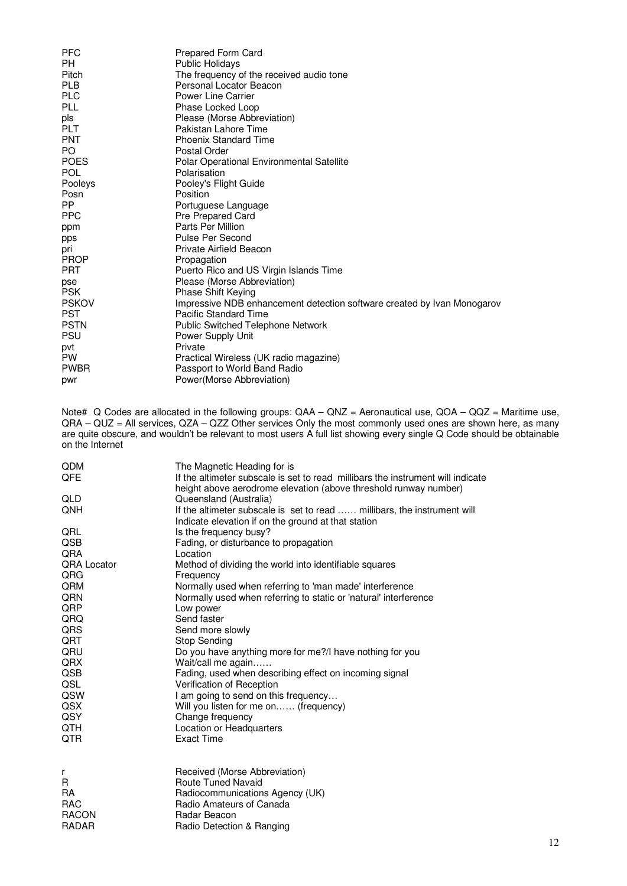| <b>PFC</b>   | Prepared Form Card                                                      |
|--------------|-------------------------------------------------------------------------|
| PH.          | <b>Public Holidays</b>                                                  |
| Pitch        | The frequency of the received audio tone                                |
| <b>PLB</b>   | Personal Locator Beacon                                                 |
| <b>PLC</b>   | <b>Power Line Carrier</b>                                               |
| <b>PLL</b>   | Phase Locked Loop                                                       |
| pls          | Please (Morse Abbreviation)                                             |
| <b>PLT</b>   | Pakistan Lahore Time                                                    |
| <b>PNT</b>   | <b>Phoenix Standard Time</b>                                            |
| PO.          | Postal Order                                                            |
| <b>POES</b>  | <b>Polar Operational Environmental Satellite</b>                        |
| <b>POL</b>   | Polarisation                                                            |
| Pooleys      | Pooley's Flight Guide                                                   |
| Posn         | Position                                                                |
| PP.          | Portuguese Language                                                     |
| <b>PPC</b>   | <b>Pre Prepared Card</b>                                                |
| ppm          | Parts Per Million                                                       |
| pps          | Pulse Per Second                                                        |
| pri          | Private Airfield Beacon                                                 |
| <b>PROP</b>  | Propagation                                                             |
| <b>PRT</b>   | Puerto Rico and US Virgin Islands Time                                  |
| pse          | Please (Morse Abbreviation)                                             |
| <b>PSK</b>   | Phase Shift Keying                                                      |
| <b>PSKOV</b> | Impressive NDB enhancement detection software created by Ivan Monogarov |
| <b>PST</b>   | <b>Pacific Standard Time</b>                                            |
| <b>PSTN</b>  | <b>Public Switched Telephone Network</b>                                |
| <b>PSU</b>   | Power Supply Unit                                                       |
| pvt          | Private                                                                 |
| <b>PW</b>    | Practical Wireless (UK radio magazine)                                  |
| <b>PWBR</b>  | Passport to World Band Radio                                            |
| pwr          | Power(Morse Abbreviation)                                               |
|              |                                                                         |

Note# Q Codes are allocated in the following groups: QAA – QNZ = Aeronautical use, QOA – QQZ = Maritime use, QRA – QUZ = All services, QZA – QZZ Other services Only the most commonly used ones are shown here, as many are quite obscure, and wouldn't be relevant to most users A full list showing every single Q Code should be obtainable on the Internet

| QDM                       | The Magnetic Heading for is                                                                                                                         |
|---------------------------|-----------------------------------------------------------------------------------------------------------------------------------------------------|
| QFE                       | If the altimeter subscale is set to read millibars the instrument will indicate<br>height above aerodrome elevation (above threshold runway number) |
| QLD                       | Queensland (Australia)                                                                                                                              |
| QNH                       | If the altimeter subscale is set to read  millibars, the instrument will<br>Indicate elevation if on the ground at that station                     |
| QRL                       | Is the frequency busy?                                                                                                                              |
| QSB                       | Fading, or disturbance to propagation                                                                                                               |
| <b>QRA</b>                | Location                                                                                                                                            |
| <b>QRA Locator</b><br>QRG | Method of dividing the world into identifiable squares<br>Frequency                                                                                 |
| QRM                       | Normally used when referring to 'man made' interference                                                                                             |
| QRN                       | Normally used when referring to static or 'natural' interference                                                                                    |
| QRP                       | Low power                                                                                                                                           |
| QRQ                       | Send faster                                                                                                                                         |
| QRS                       | Send more slowly                                                                                                                                    |
| QRT                       | <b>Stop Sending</b>                                                                                                                                 |
| QRU                       | Do you have anything more for me?/I have nothing for you                                                                                            |
| QRX                       | Wait/call me again                                                                                                                                  |
| QSB                       | Fading, used when describing effect on incoming signal                                                                                              |
| QSL                       | Verification of Reception                                                                                                                           |
| QSW                       | I am going to send on this frequency                                                                                                                |
| QSX                       | Will you listen for me on (frequency)                                                                                                               |
| QSY                       | Change frequency                                                                                                                                    |
| QTH                       | Location or Headquarters                                                                                                                            |
| QTR                       | <b>Exact Time</b>                                                                                                                                   |
| r                         | Received (Morse Abbreviation)                                                                                                                       |
| R                         | <b>Route Tuned Navaid</b>                                                                                                                           |
| <b>RA</b>                 | Radiocommunications Agency (UK)                                                                                                                     |
| RAC                       | Radio Amateurs of Canada                                                                                                                            |
| <b>RACON</b>              | Radar Beacon                                                                                                                                        |

Radio Detection & Ranging

RACON Radar Beacon<br>
RADAR Radio Detection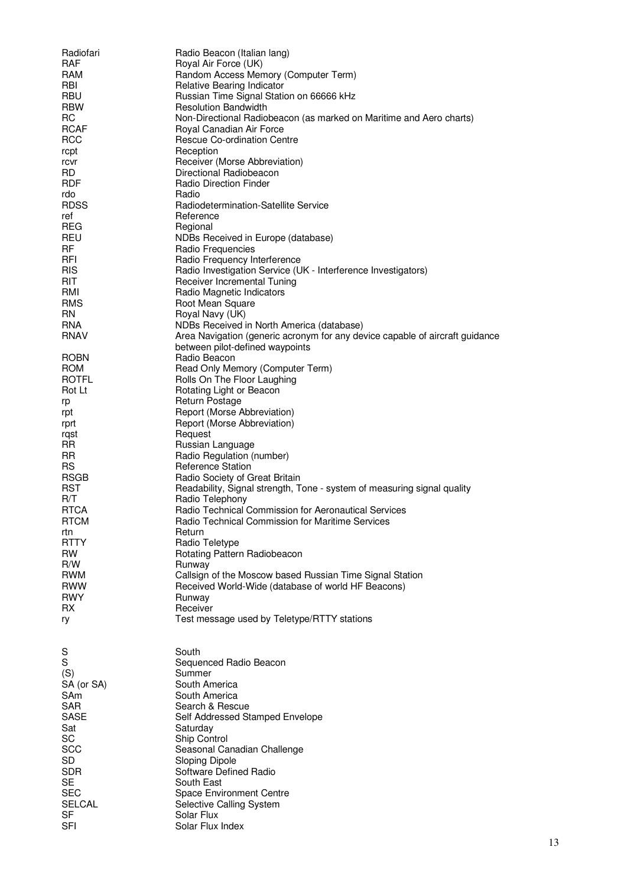| Radiofari           | Radio Beacon (Italian lang)                                                  |
|---------------------|------------------------------------------------------------------------------|
| <b>RAF</b>          | Royal Air Force (UK)                                                         |
| <b>RAM</b>          | Random Access Memory (Computer Term)                                         |
| RBI                 | Relative Bearing Indicator                                                   |
| RBU                 | Russian Time Signal Station on 66666 kHz                                     |
| <b>RBW</b>          | <b>Resolution Bandwidth</b>                                                  |
| RC                  | Non-Directional Radiobeacon (as marked on Maritime and Aero charts)          |
| <b>RCAF</b>         | Royal Canadian Air Force                                                     |
| <b>RCC</b>          | Rescue Co-ordination Centre                                                  |
| rcpt                | Reception                                                                    |
| rcvr                | Receiver (Morse Abbreviation)                                                |
| <b>RD</b>           | Directional Radiobeacon                                                      |
| <b>RDF</b>          | Radio Direction Finder                                                       |
| rdo                 | Radio                                                                        |
| <b>RDSS</b>         | Radiodetermination-Satellite Service                                         |
| ref                 | Reference                                                                    |
| <b>REG</b>          | Regional                                                                     |
| REU                 | NDBs Received in Europe (database)                                           |
| <b>RF</b>           | Radio Frequencies                                                            |
| <b>RFI</b>          | Radio Frequency Interference                                                 |
| <b>RIS</b>          | Radio Investigation Service (UK - Interference Investigators)                |
| RIT                 | Receiver Incremental Tuning                                                  |
| RMI                 | Radio Magnetic Indicators                                                    |
| RMS<br><b>RN</b>    | Root Mean Square                                                             |
|                     | Royal Navy (UK)                                                              |
| <b>RNA</b>          | NDBs Received in North America (database)                                    |
| RNAV                | Area Navigation (generic acronym for any device capable of aircraft guidance |
|                     | between pilot-defined waypoints                                              |
| <b>ROBN</b>         | Radio Beacon                                                                 |
| <b>ROM</b><br>ROTFL | Read Only Memory (Computer Term)                                             |
| Rot Lt              | Rolls On The Floor Laughing<br>Rotating Light or Beacon                      |
|                     | <b>Return Postage</b>                                                        |
| rp<br>rpt           | Report (Morse Abbreviation)                                                  |
| rprt                | Report (Morse Abbreviation)                                                  |
| rqst                | Request                                                                      |
| RR.                 | Russian Language                                                             |
| RR.                 | Radio Regulation (number)                                                    |
| <b>RS</b>           | <b>Reference Station</b>                                                     |
| <b>RSGB</b>         | Radio Society of Great Britain                                               |
| <b>RST</b>          | Readability, Signal strength, Tone - system of measuring signal quality      |
| R/T                 | Radio Telephony                                                              |
| <b>RTCA</b>         | Radio Technical Commission for Aeronautical Services                         |
| RTCM                | Radio Technical Commission for Maritime Services                             |
| rtn                 | Return                                                                       |
| <b>RTTY</b>         | Radio Teletype                                                               |
| RW.                 | Rotating Pattern Radiobeacon                                                 |
| R/W                 | Runway                                                                       |
| <b>RWM</b>          | Callsign of the Moscow based Russian Time Signal Station                     |
| <b>RWW</b>          | Received World-Wide (database of world HF Beacons)                           |
| <b>RWY</b>          | Runway                                                                       |
| <b>RX</b>           | Receiver                                                                     |
| ry                  | Test message used by Teletype/RTTY stations                                  |
|                     |                                                                              |
|                     |                                                                              |
| S                   | South                                                                        |
| S                   | Sequenced Radio Beacon                                                       |
| (S)                 | Summer                                                                       |
| SA (or SA)          | South America                                                                |
| SAm                 | South America                                                                |
| <b>SAR</b>          | Search & Rescue                                                              |
| SASE                | Self Addressed Stamped Envelope                                              |
| Sat                 | Saturday                                                                     |
| SC                  | Ship Control                                                                 |
| <b>SCC</b>          | Seasonal Canadian Challenge                                                  |
| SD                  | <b>Sloping Dipole</b>                                                        |
| <b>SDR</b>          | Software Defined Radio                                                       |
| SE                  | South East                                                                   |
| <b>SEC</b>          | Space Environment Centre                                                     |
| <b>SELCAL</b>       | Selective Calling System                                                     |
| <b>SF</b>           | Solar Flux                                                                   |
| SFI                 | Solar Flux Index                                                             |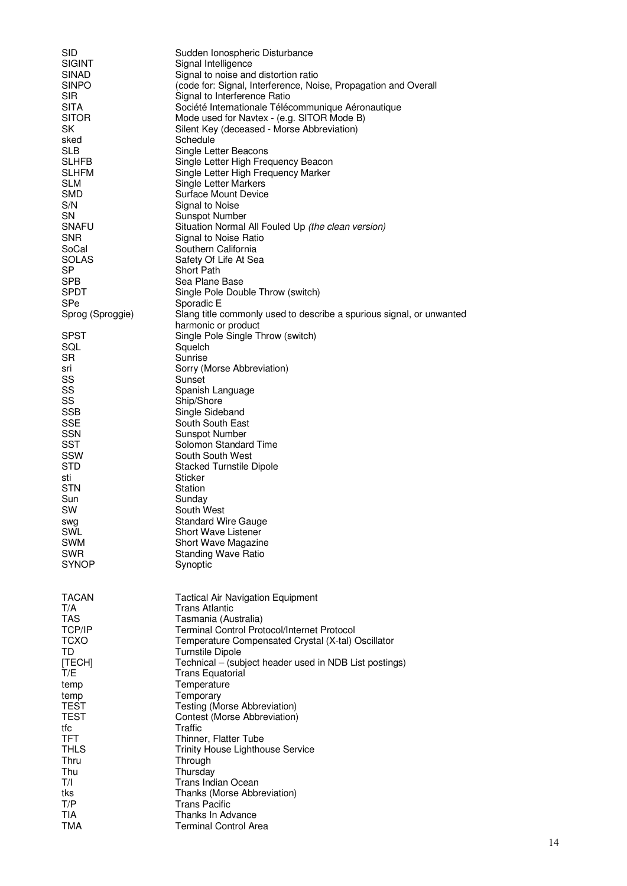| <b>SID</b>               | Sudden Ionospheric Disturbance                                       |
|--------------------------|----------------------------------------------------------------------|
| <b>SIGINT</b>            | Signal Intelligence                                                  |
| SINAD                    | Signal to noise and distortion ratio                                 |
| <b>SINPO</b>             | (code for: Signal, Interference, Noise, Propagation and Overall      |
| <b>SIR</b>               | Signal to Interference Ratio                                         |
| <b>SITA</b>              | Société Internationale Télécommunique Aéronautique                   |
| <b>SITOR</b>             | Mode used for Navtex - (e.g. SITOR Mode B)                           |
| <b>SK</b>                | Silent Key (deceased - Morse Abbreviation)                           |
| sked                     | Schedule                                                             |
| <b>SLB</b>               | Single Letter Beacons                                                |
| <b>SLHFB</b>             | Single Letter High Frequency Beacon                                  |
| <b>SLHFM</b>             |                                                                      |
|                          | Single Letter High Frequency Marker                                  |
| <b>SLM</b>               | Single Letter Markers<br><b>Surface Mount Device</b>                 |
| <b>SMD</b>               |                                                                      |
| S/N                      | Signal to Noise                                                      |
| SN                       | <b>Sunspot Number</b>                                                |
| <b>SNAFU</b>             | Situation Normal All Fouled Up (the clean version)                   |
| <b>SNR</b>               | Signal to Noise Ratio                                                |
| SoCal                    | Southern California                                                  |
| <b>SOLAS</b>             | Safety Of Life At Sea                                                |
| SP                       | <b>Short Path</b>                                                    |
| <b>SPB</b>               | Sea Plane Base                                                       |
| <b>SPDT</b>              | Single Pole Double Throw (switch)                                    |
| <b>SPe</b>               | Sporadic E                                                           |
| Sprog (Sproggie)         | Slang title commonly used to describe a spurious signal, or unwanted |
|                          | harmonic or product                                                  |
| <b>SPST</b>              | Single Pole Single Throw (switch)                                    |
| SQL                      | Squelch                                                              |
| SR                       | Sunrise                                                              |
| sri                      | Sorry (Morse Abbreviation)                                           |
| SS                       | Sunset                                                               |
| SS                       | Spanish Language                                                     |
| SS                       | Ship/Shore                                                           |
| <b>SSB</b>               | Single Sideband                                                      |
| <b>SSE</b>               | South South East                                                     |
| <b>SSN</b>               | <b>Sunspot Number</b>                                                |
| <b>SST</b>               | Solomon Standard Time                                                |
| SSW                      | South South West                                                     |
| <b>STD</b>               | <b>Stacked Turnstile Dipole</b>                                      |
| sti                      | <b>Sticker</b>                                                       |
| <b>STN</b>               | Station                                                              |
| Sun                      | Sunday                                                               |
| <b>SW</b>                | South West                                                           |
|                          |                                                                      |
| swg<br>SWL               | <b>Standard Wire Gauge</b><br><b>Short Wave Listener</b>             |
|                          |                                                                      |
| <b>SWM</b><br><b>SWR</b> | Short Wave Magazine                                                  |
|                          | <b>Standing Wave Ratio</b>                                           |
| <b>SYNOP</b>             | Synoptic                                                             |
|                          |                                                                      |
|                          |                                                                      |
| TACAN                    | <b>Tactical Air Navigation Equipment</b>                             |
| T/A                      | <b>Trans Atlantic</b>                                                |
| <b>TAS</b>               | Tasmania (Australia)                                                 |
| <b>TCP/IP</b>            | Terminal Control Protocol/Internet Protocol                          |
| <b>TCXO</b>              | Temperature Compensated Crystal (X-tal) Oscillator                   |
| TD                       | <b>Turnstile Dipole</b>                                              |
| [TECH]                   | Technical – (subject header used in NDB List postings)               |
| T/E                      | <b>Trans Equatorial</b>                                              |
| temp                     | Temperature                                                          |
| temp                     | Temporary                                                            |
| TEST                     | Testing (Morse Abbreviation)                                         |
| <b>TEST</b>              | Contest (Morse Abbreviation)                                         |
| tfc                      | Traffic                                                              |
| <b>TFT</b>               | Thinner, Flatter Tube                                                |
| <b>THLS</b>              | Trinity House Lighthouse Service                                     |
| Thru                     | Through                                                              |
| Thu                      | Thursday                                                             |
| T/I                      | <b>Trans Indian Ocean</b>                                            |
| tks                      | Thanks (Morse Abbreviation)                                          |
| T/P                      | <b>Trans Pacific</b>                                                 |
| <b>TIA</b>               | Thanks In Advance                                                    |
| <b>TMA</b>               | <b>Terminal Control Area</b>                                         |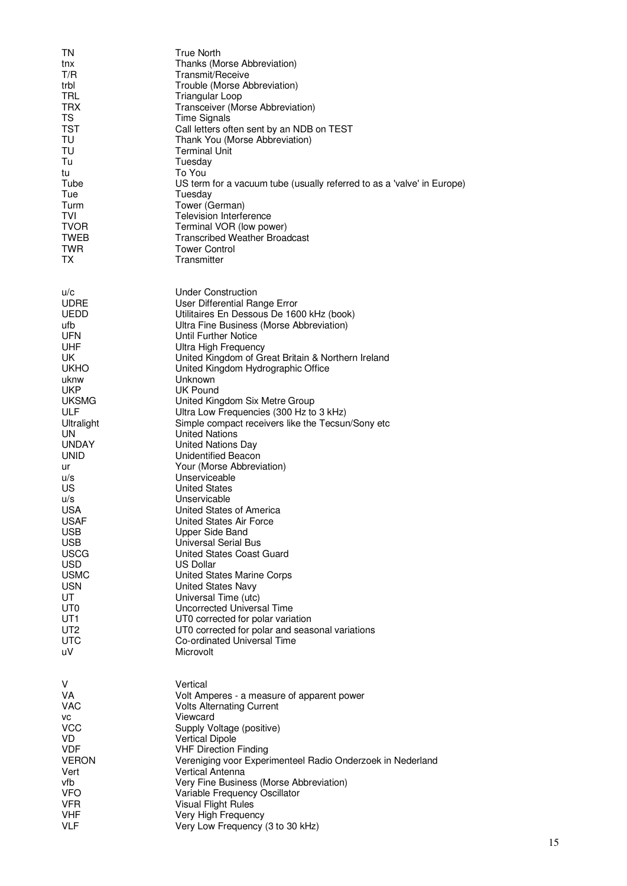| ΤN              | <b>True North</b>                                                      |
|-----------------|------------------------------------------------------------------------|
| tnx             | Thanks (Morse Abbreviation)                                            |
| T/R             | Transmit/Receive                                                       |
| trbl            | Trouble (Morse Abbreviation)                                           |
| <b>TRL</b>      | Triangular Loop                                                        |
| <b>TRX</b>      | Transceiver (Morse Abbreviation)                                       |
| <b>TS</b>       | <b>Time Signals</b>                                                    |
| TST             | Call letters often sent by an NDB on TEST                              |
| TU              |                                                                        |
|                 | Thank You (Morse Abbreviation)                                         |
| TU              | Terminal Unit                                                          |
| Tu              | Tuesday                                                                |
| tu              | To You                                                                 |
| Tube            | US term for a vacuum tube (usually referred to as a 'valve' in Europe) |
| Tue             | Tuesday                                                                |
| Turm            | Tower (German)                                                         |
| <b>TVI</b>      | <b>Television Interference</b>                                         |
| <b>TVOR</b>     | Terminal VOR (low power)                                               |
| TWEB            | <b>Transcribed Weather Broadcast</b>                                   |
| TWR             | <b>Tower Control</b>                                                   |
| ТX              | Transmitter                                                            |
|                 |                                                                        |
|                 |                                                                        |
| U/C             | <b>Under Construction</b>                                              |
| <b>UDRE</b>     | User Differential Range Error                                          |
| <b>UEDD</b>     | Utilitaires En Dessous De 1600 kHz (book)                              |
|                 |                                                                        |
| ufb             | Ultra Fine Business (Morse Abbreviation)                               |
| <b>UFN</b>      | Until Further Notice                                                   |
| <b>UHF</b>      | <b>Ultra High Frequency</b>                                            |
| UK              | United Kingdom of Great Britain & Northern Ireland                     |
| UKHO            | United Kingdom Hydrographic Office                                     |
| uknw            | Unknown                                                                |
| UKP             | UK Pound                                                               |
| <b>UKSMG</b>    | United Kingdom Six Metre Group                                         |
| <b>ULF</b>      | Ultra Low Frequencies (300 Hz to 3 kHz)                                |
| Ultralight      | Simple compact receivers like the Tecsun/Sony etc                      |
| UN              | <b>United Nations</b>                                                  |
| <b>UNDAY</b>    | <b>United Nations Day</b>                                              |
| <b>UNID</b>     | <b>Unidentified Beacon</b>                                             |
|                 |                                                                        |
| ur              | Your (Morse Abbreviation)                                              |
| U/S             | Unserviceable                                                          |
| US              | <b>United States</b>                                                   |
| u/s             | Unservicable                                                           |
| <b>USA</b>      | United States of America                                               |
| <b>USAF</b>     | United States Air Force                                                |
| <b>USB</b>      | Upper Side Band                                                        |
| <b>USB</b>      | <b>Universal Serial Bus</b>                                            |
| <b>USCG</b>     | United States Coast Guard                                              |
| <b>USD</b>      | <b>US Dollar</b>                                                       |
| <b>USMC</b>     | United States Marine Corps                                             |
| <b>USN</b>      | United States Navy                                                     |
| UT              | Universal Time (utc)                                                   |
| UT <sub>0</sub> | <b>Uncorrected Universal Time</b>                                      |
| UT <sub>1</sub> | UT0 corrected for polar variation                                      |
| UT <sub>2</sub> |                                                                        |
|                 | UT0 corrected for polar and seasonal variations                        |
| <b>UTC</b>      | Co-ordinated Universal Time                                            |
| uV              | Microvolt                                                              |
|                 |                                                                        |
|                 |                                                                        |
| V               | Vertical                                                               |
| VA              | Volt Amperes - a measure of apparent power                             |
| VAC             | <b>Volts Alternating Current</b>                                       |
| VC              | Viewcard                                                               |
| <b>VCC</b>      | Supply Voltage (positive)                                              |
| VD.             | <b>Vertical Dipole</b>                                                 |
| <b>VDF</b>      | <b>VHF Direction Finding</b>                                           |
| <b>VERON</b>    | Vereniging voor Experimenteel Radio Onderzoek in Nederland             |
| Vert            | <b>Vertical Antenna</b>                                                |
| vfb             | Very Fine Business (Morse Abbreviation)                                |
| <b>VFO</b>      | Variable Frequency Oscillator                                          |
| <b>VFR</b>      | <b>Visual Flight Rules</b>                                             |
| <b>VHF</b>      | Very High Frequency                                                    |
|                 |                                                                        |
| <b>VLF</b>      | Very Low Frequency (3 to 30 kHz)                                       |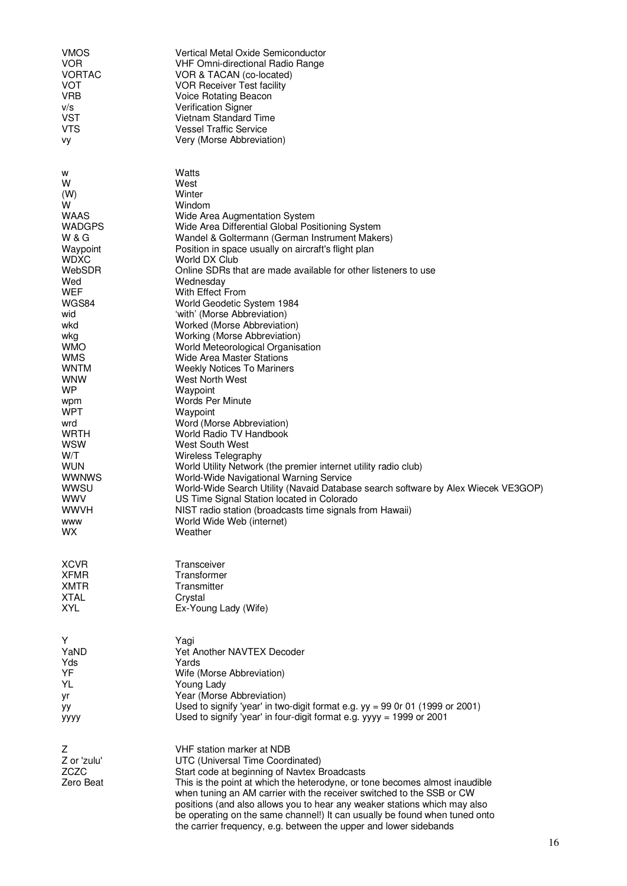| <b>VMOS</b>                       | Vertical Metal Oxide Semiconductor                                                                                          |
|-----------------------------------|-----------------------------------------------------------------------------------------------------------------------------|
| VOR                               | VHF Omni-directional Radio Range                                                                                            |
| <b>VORTAC</b><br><b>VOT</b>       | VOR & TACAN (co-located)<br><b>VOR Receiver Test facility</b>                                                               |
| <b>VRB</b>                        | Voice Rotating Beacon                                                                                                       |
| V/S                               | <b>Verification Signer</b>                                                                                                  |
| <b>VST</b>                        | Vietnam Standard Time                                                                                                       |
| <b>VTS</b>                        | <b>Vessel Traffic Service</b>                                                                                               |
| vy                                | Very (Morse Abbreviation)                                                                                                   |
|                                   |                                                                                                                             |
| w                                 | Watts                                                                                                                       |
| w                                 | West                                                                                                                        |
| (W)                               | Winter                                                                                                                      |
| w                                 | Windom                                                                                                                      |
| <b>WAAS</b>                       | Wide Area Augmentation System                                                                                               |
| <b>WADGPS</b><br><b>W &amp; G</b> | Wide Area Differential Global Positioning System                                                                            |
| Waypoint                          | Wandel & Goltermann (German Instrument Makers)<br>Position in space usually on aircraft's flight plan                       |
| <b>WDXC</b>                       | World DX Club                                                                                                               |
| WebSDR                            | Online SDRs that are made available for other listeners to use                                                              |
| Wed                               | Wednesday                                                                                                                   |
| <b>WEF</b>                        | With Effect From                                                                                                            |
| WGS84                             | World Geodetic System 1984                                                                                                  |
| wid                               | 'with' (Morse Abbreviation)                                                                                                 |
| wkd                               | Worked (Morse Abbreviation)                                                                                                 |
| wkg<br><b>WMO</b>                 | Working (Morse Abbreviation)<br>World Meteorological Organisation                                                           |
| <b>WMS</b>                        | <b>Wide Area Master Stations</b>                                                                                            |
| <b>WNTM</b>                       | <b>Weekly Notices To Mariners</b>                                                                                           |
| WNW                               | West North West                                                                                                             |
| WP                                | Waypoint                                                                                                                    |
| wpm                               | <b>Words Per Minute</b>                                                                                                     |
| <b>WPT</b>                        | Waypoint                                                                                                                    |
| wrd<br><b>WRTH</b>                | Word (Morse Abbreviation)                                                                                                   |
| <b>WSW</b>                        | World Radio TV Handbook<br>West South West                                                                                  |
| W/T                               | <b>Wireless Telegraphy</b>                                                                                                  |
| <b>WUN</b>                        | World Utility Network (the premier internet utility radio club)                                                             |
| <b>WWNWS</b>                      | World-Wide Navigational Warning Service                                                                                     |
| WWSU                              | World-Wide Search Utility (Navaid Database search software by Alex Wiecek VE3GOP)                                           |
| wwy                               | US Time Signal Station located in Colorado                                                                                  |
| <b>WWVH</b>                       | NIST radio station (broadcasts time signals from Hawaii)                                                                    |
| <b>WWW</b>                        | World Wide Web (internet)                                                                                                   |
| WX                                | Weather                                                                                                                     |
|                                   |                                                                                                                             |
| <b>XCVR</b>                       | Transceiver                                                                                                                 |
| <b>XFMR</b><br><b>XMTR</b>        | Transformer<br>Transmitter                                                                                                  |
| <b>XTAL</b>                       | Crystal                                                                                                                     |
| <b>XYL</b>                        | Ex-Young Lady (Wife)                                                                                                        |
|                                   |                                                                                                                             |
| Y                                 | Yagi                                                                                                                        |
| YaND                              | Yet Another NAVTEX Decoder                                                                                                  |
| Yds                               | Yards                                                                                                                       |
| YF                                | Wife (Morse Abbreviation)                                                                                                   |
| YL                                | Young Lady                                                                                                                  |
| yr                                | Year (Morse Abbreviation)                                                                                                   |
| уу                                | Used to signify 'year' in two-digit format e.g. $yy = 99$ Or 01 (1999 or 2001)                                              |
| уууу                              | Used to signify 'year' in four-digit format e.g. yyyy = 1999 or 2001                                                        |
|                                   |                                                                                                                             |
| Ζ                                 | VHF station marker at NDB                                                                                                   |
| Z or 'zulu'<br>ZCZC               | UTC (Universal Time Coordinated)                                                                                            |
| Zero Beat                         | Start code at beginning of Navtex Broadcasts<br>This is the point at which the heterodyne, or tone becomes almost inaudible |
|                                   | when tuning an AM carrier with the receiver switched to the SSB or CW                                                       |
|                                   | positions (and also allows you to hear any weaker stations which may also                                                   |
|                                   | be operating on the same channel!) It can usually be found when tuned onto                                                  |
|                                   | the carrier frequency, e.g. between the upper and lower sidebands                                                           |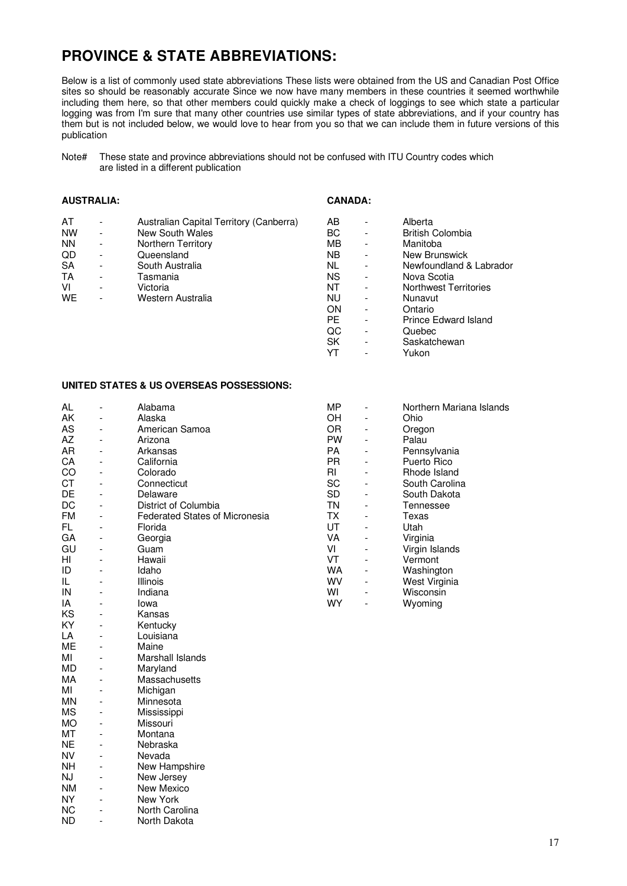## **PROVINCE & STATE ABBREVIATIONS:**

Below is a list of commonly used state abbreviations These lists were obtained from the US and Canadian Post Office sites so should be reasonably accurate Since we now have many members in these countries it seemed worthwhile including them here, so that other members could quickly make a check of loggings to see which state a particular logging was from I'm sure that many other countries use similar types of state abbreviations, and if your country has them but is not included below, we would love to hear from you so that we can include them in future versions of this publication

CANADA:

Note#These state and province abbreviations should not be confused with ITU Country codes which are listed in a different publication

| <b>AUSTRALIA:</b> |
|-------------------|
|-------------------|

| AT        | $\overline{\phantom{a}}$ | Australian Capital Territory (Canberra) | AB        | ۰ | Alberta                      |
|-----------|--------------------------|-----------------------------------------|-----------|---|------------------------------|
| <b>NW</b> | $\overline{\phantom{a}}$ | New South Wales                         | BС        |   | <b>British Colombia</b>      |
| <b>NN</b> | $\overline{\phantom{a}}$ | Northern Territory                      | MВ        | ۰ | Manitoba                     |
|           |                          |                                         |           |   |                              |
| QD        | $\overline{\phantom{a}}$ | Queensland                              | NΒ        | ۰ | New Brunswick                |
| <b>SA</b> | $\overline{\phantom{a}}$ | South Australia                         | NL        |   | Newfoundland & Labrador      |
| TA        | $\overline{\phantom{0}}$ | Tasmania                                | <b>NS</b> | ۰ | Nova Scotia                  |
| VI        | $\overline{\phantom{0}}$ | Victoria                                | NT        | - | <b>Northwest Territories</b> |
| <b>WE</b> | ۰                        | Western Australia                       | NU.       | - | Nunavut                      |
|           |                          |                                         | ON        | ۰ | Ontario                      |
|           |                          |                                         | РE        | ۰ | <b>Prince Edward Island</b>  |
|           |                          |                                         | QC        | ۰ | Quebec                       |
|           |                          |                                         | SK        | ۰ | Saskatchewan                 |
|           |                          |                                         | YT        |   | Yukon                        |

YT - Yukon

#### **UNITED STATES & US OVERSEAS POSSESSIONS:**

ND - North Dakota

| AL        | $\overline{\phantom{0}}$ | Alabama                               | MP        |                          | Northern Mariana Islands |
|-----------|--------------------------|---------------------------------------|-----------|--------------------------|--------------------------|
| AK        | L,                       | Alaska                                | ОH        | L,                       | Ohio                     |
| AS        | $\overline{\phantom{0}}$ | American Samoa                        | <b>OR</b> | $\overline{\phantom{0}}$ | Oregon                   |
| AZ        | $\overline{\phantom{a}}$ | Arizona                               | PW        | $\overline{\phantom{a}}$ | Palau                    |
| AR        | $\overline{\phantom{a}}$ | Arkansas                              | <b>PA</b> | $\overline{\phantom{a}}$ | Pennsylvania             |
| CA        | $\overline{\phantom{a}}$ | California                            | PR.       | $\blacksquare$           | Puerto Rico              |
| CO        | $\overline{\phantom{a}}$ | Colorado                              | RI        |                          | Rhode Island             |
| <b>CT</b> | $\overline{\phantom{0}}$ | Connecticut                           | SC        | $\overline{\phantom{0}}$ | South Carolina           |
| DE        | $\overline{\phantom{0}}$ | Delaware                              | <b>SD</b> | $\overline{\phantom{a}}$ | South Dakota             |
| DC        | $\overline{\phantom{0}}$ | District of Columbia                  | TN        | $\overline{\phantom{0}}$ | Tennessee                |
| FM        | $\overline{\phantom{0}}$ | <b>Federated States of Micronesia</b> | TX        | $\overline{\phantom{a}}$ | Texas                    |
| FL.       | $\overline{\phantom{0}}$ | Florida                               | UT        | $\overline{\phantom{a}}$ | Utah                     |
| GA        | $\overline{\phantom{0}}$ | Georgia                               | VA        | $\overline{\phantom{a}}$ | Virginia                 |
| GU        | $\overline{\phantom{a}}$ | Guam                                  | VI        | $\overline{\phantom{a}}$ | Virgin Islands           |
| HI        | $\overline{\phantom{0}}$ | Hawaii                                | VT        | $\blacksquare$           | Vermont                  |
| ID        | $\overline{\phantom{0}}$ | Idaho                                 | <b>WA</b> | $\blacksquare$           | Washington               |
| IL        | $\overline{\phantom{0}}$ | Illinois                              | <b>WV</b> | $\blacksquare$           | West Virginia            |
| IN        | $\overline{\phantom{0}}$ | Indiana                               | WI        |                          | Wisconsin                |
| ΙA        | $\overline{\phantom{0}}$ | lowa                                  | WY.       | $\overline{\phantom{a}}$ | Wyoming                  |
| ΚS        | $\overline{\phantom{0}}$ | Kansas                                |           |                          |                          |
| KY        | $\overline{\phantom{0}}$ | Kentucky                              |           |                          |                          |
| LA        |                          | Louisiana                             |           |                          |                          |
| ME        | $\overline{\phantom{a}}$ | Maine                                 |           |                          |                          |
| ΜI        | $\overline{\phantom{0}}$ | <b>Marshall Islands</b>               |           |                          |                          |
| <b>MD</b> | $\overline{\phantom{0}}$ | Maryland                              |           |                          |                          |
| МA        | $\overline{\phantom{a}}$ | Massachusetts                         |           |                          |                          |
| ΜI        | $\overline{\phantom{a}}$ | Michigan                              |           |                          |                          |
| <b>MN</b> | $\overline{\phantom{0}}$ | Minnesota                             |           |                          |                          |
| <b>MS</b> | $\overline{\phantom{a}}$ | Mississippi                           |           |                          |                          |
| <b>MO</b> | L,                       | Missouri                              |           |                          |                          |
| MT        |                          | Montana                               |           |                          |                          |
| <b>NE</b> | $\overline{\phantom{0}}$ | Nebraska                              |           |                          |                          |
| <b>NV</b> | $\overline{\phantom{a}}$ | Nevada                                |           |                          |                          |
| <b>NH</b> | $\overline{\phantom{0}}$ | New Hampshire                         |           |                          |                          |
| NJ        | $\blacksquare$           | New Jersey                            |           |                          |                          |
| <b>NM</b> | $\overline{\phantom{0}}$ | New Mexico                            |           |                          |                          |
| <b>NY</b> | $\overline{\phantom{a}}$ | New York                              |           |                          |                          |
| <b>NC</b> | $\overline{a}$           | North Carolina                        |           |                          |                          |
|           |                          |                                       |           |                          |                          |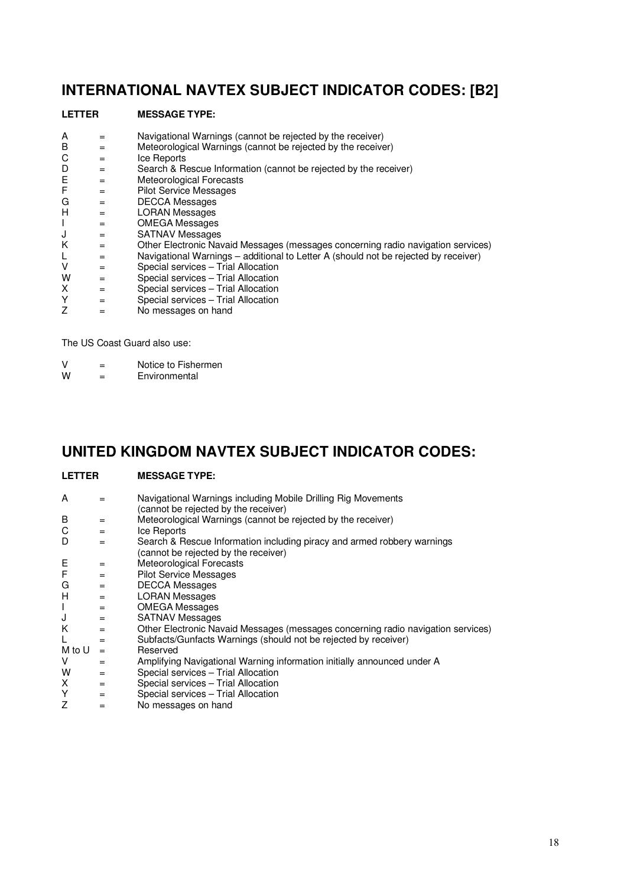# **INTERNATIONAL NAVTEX SUBJECT INDICATOR CODES: [B2]**

## **LETTER MESSAGE TYPE:**

| А |     | Navigational Warnings (cannot be rejected by the receiver)                          |
|---|-----|-------------------------------------------------------------------------------------|
| В | $=$ | Meteorological Warnings (cannot be rejected by the receiver)                        |
| С | $=$ | Ice Reports                                                                         |
| D | $=$ | Search & Rescue Information (cannot be rejected by the receiver)                    |
| Ε | $=$ | <b>Meteorological Forecasts</b>                                                     |
| F | $=$ | <b>Pilot Service Messages</b>                                                       |
| G | $=$ | <b>DECCA Messages</b>                                                               |
| н | $=$ | <b>LORAN Messages</b>                                                               |
|   | $=$ | <b>OMEGA Messages</b>                                                               |
| J | $=$ | <b>SATNAV Messages</b>                                                              |
| Κ | $=$ | Other Electronic Navaid Messages (messages concerning radio navigation services)    |
| L | $=$ | Navigational Warnings – additional to Letter A (should not be rejected by receiver) |
| v | $=$ | Special services - Trial Allocation                                                 |
| W | $=$ | Special services - Trial Allocation                                                 |
| X | $=$ | Special services - Trial Allocation                                                 |
| Υ | $=$ | Special services - Trial Allocation                                                 |
| Ζ |     | No messages on hand                                                                 |

The US Coast Guard also use:

| V |  | Notice to Fishermen |
|---|--|---------------------|
|   |  |                     |

| Environmental |
|---------------|
|               |

## **UNITED KINGDOM NAVTEX SUBJECT INDICATOR CODES:**

## **LETTER MESSAGE TYPE:**

| A      | $=$ | Navigational Warnings including Mobile Drilling Rig Movements<br>(cannot be rejected by the receiver) |
|--------|-----|-------------------------------------------------------------------------------------------------------|
| B      | $=$ | Meteorological Warnings (cannot be rejected by the receiver)                                          |
| C      | $=$ | Ice Reports                                                                                           |
| D      | $=$ | Search & Rescue Information including piracy and armed robbery warnings                               |
|        |     | (cannot be rejected by the receiver)                                                                  |
| Е      | $=$ | <b>Meteorological Forecasts</b>                                                                       |
| F      | $=$ | <b>Pilot Service Messages</b>                                                                         |
| G      | $=$ | <b>DECCA Messages</b>                                                                                 |
| H      | $=$ | <b>LORAN Messages</b>                                                                                 |
| T      | $=$ | <b>OMEGA Messages</b>                                                                                 |
| J      | $=$ | <b>SATNAV Messages</b>                                                                                |
| K      | $=$ | Other Electronic Navaid Messages (messages concerning radio navigation services)                      |
| L      | $=$ | Subfacts/Gunfacts Warnings (should not be rejected by receiver)                                       |
| M to U | $=$ | Reserved                                                                                              |
| V      | $=$ | Amplifying Navigational Warning information initially announced under A                               |
| W      | $=$ | Special services - Trial Allocation                                                                   |
| X      | $=$ | Special services - Trial Allocation                                                                   |
| Y      | $=$ | Special services - Trial Allocation                                                                   |
| 7      | $=$ | No messages on hand                                                                                   |
|        |     |                                                                                                       |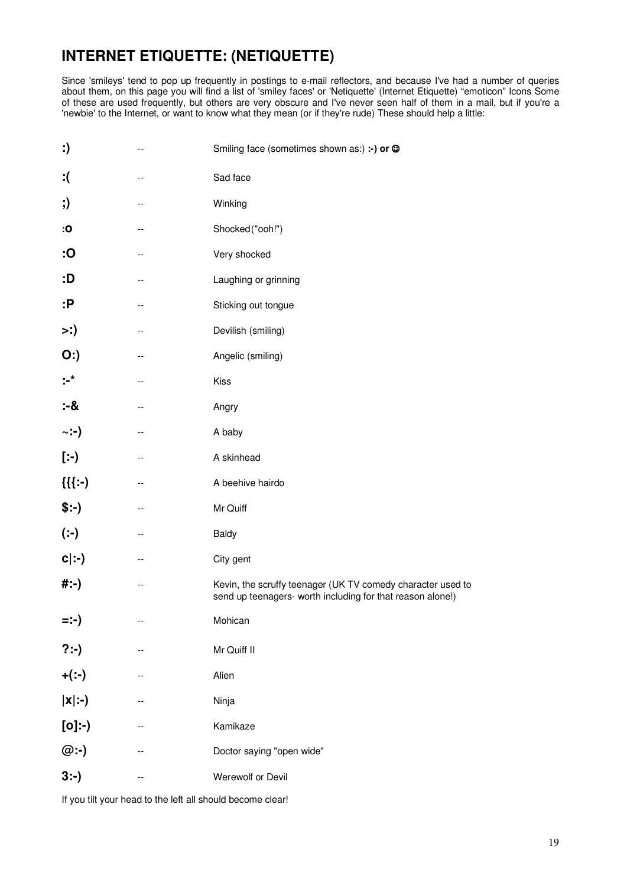# **INTERNET ETIQUETTE: (NETIQUETTE)**

Since 'smileys' tend to pop up frequently in postings to e-mail reflectors, and because I've had a number of queries about them, on this page you will find a list of 'smiley faces' or 'Netiquette' (Internet Etiquette) "emoticon" Icons Some of these are used frequently, but others are very obscure and I've never seen half of them in a mail, but if you're a 'newbie' to the Internet, or want to know what they mean (or if they're rude) These should help a little:

| :)                           | --                       | Smiling face (sometimes shown as:) :-) or @                                                                               |
|------------------------------|--------------------------|---------------------------------------------------------------------------------------------------------------------------|
| :(                           | --                       | Sad face                                                                                                                  |
| ;)                           | $\overline{\phantom{a}}$ | Winking                                                                                                                   |
| :0                           | $-$                      | Shocked("ooh!")                                                                                                           |
| :О                           | $-$                      | Very shocked                                                                                                              |
| :D                           | --                       | Laughing or grinning                                                                                                      |
| :Р                           | --                       | Sticking out tongue                                                                                                       |
| $\left. \rightarrow \right.$ | --                       | Devilish (smiling)                                                                                                        |
| $O$ :)                       | --                       | Angelic (smiling)                                                                                                         |
| :-*                          | --                       | Kiss                                                                                                                      |
| :-&                          | --                       | Angry                                                                                                                     |
| ∼:-)                         | --                       | A baby                                                                                                                    |
| $\left[\cdot\right]$         | --                       | A skinhead                                                                                                                |
| ${({\cdot};\cdot)}$          | --                       | A beehive hairdo                                                                                                          |
| $$:-)$                       | --                       | Mr Quiff                                                                                                                  |
| $(:-)$                       | $\overline{\phantom{m}}$ | Baldy                                                                                                                     |
| $c$  :-)                     | --                       | City gent                                                                                                                 |
| #:-)                         | --                       | Kevin, the scruffy teenager (UK TV comedy character used to<br>send up teenagers- worth including for that reason alone!) |
| =:-)                         |                          | Mohican                                                                                                                   |
| $?:-)$                       |                          | Mr Quiff II                                                                                                               |
| $+(:-)$                      |                          | Alien                                                                                                                     |
| $ x $ :-)                    |                          | Ninja                                                                                                                     |
| [0]:                         |                          | Kamikaze                                                                                                                  |
| $@:$ )                       |                          | Doctor saying "open wide"                                                                                                 |
| $3:-)$                       | --                       | Werewolf or Devil                                                                                                         |

If you tilt your head to the left all should become clear!